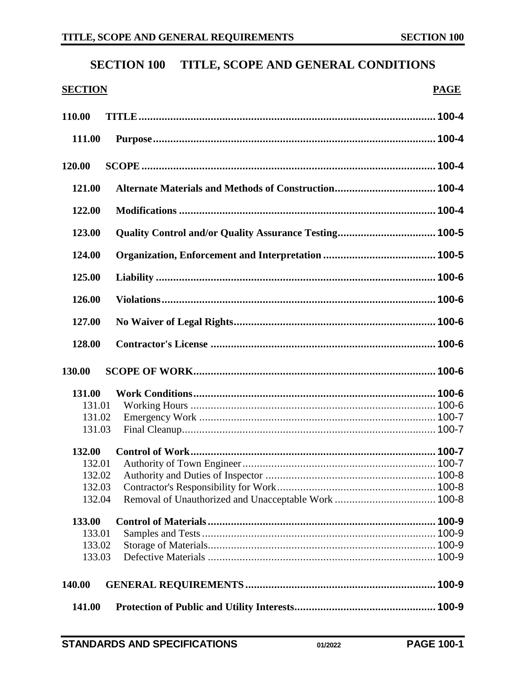# **SECTION 100 TITLE, SCOPE AND GENERAL CONDITIONS**

## **SECTION PAGE**

| 110.00 |  |
|--------|--|
| 111.00 |  |
|        |  |
| 120.00 |  |
| 121.00 |  |
| 122.00 |  |
| 123.00 |  |
| 124.00 |  |
| 125.00 |  |
| 126.00 |  |
| 127.00 |  |
|        |  |
| 128.00 |  |
|        |  |
| 130.00 |  |
| 131.00 |  |
| 131.01 |  |
| 131.02 |  |
| 131.03 |  |
| 132.00 |  |
| 132.01 |  |
| 132.02 |  |
| 132.03 |  |
| 132.04 |  |
| 133.00 |  |
| 133.01 |  |
| 133.02 |  |
| 133.03 |  |
| 140.00 |  |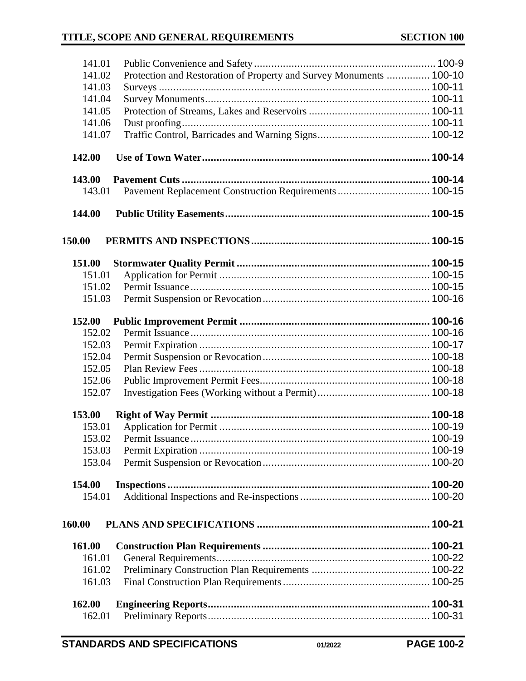| 141.01 |                                                                     |  |
|--------|---------------------------------------------------------------------|--|
| 141.02 | Protection and Restoration of Property and Survey Monuments  100-10 |  |
| 141.03 |                                                                     |  |
| 141.04 |                                                                     |  |
| 141.05 |                                                                     |  |
| 141.06 |                                                                     |  |
| 141.07 |                                                                     |  |
| 142.00 |                                                                     |  |
| 143.00 |                                                                     |  |
| 143.01 | Pavement Replacement Construction Requirements  100-15              |  |
|        |                                                                     |  |
| 144.00 |                                                                     |  |
| 150.00 |                                                                     |  |
| 151.00 |                                                                     |  |
| 151.01 |                                                                     |  |
| 151.02 |                                                                     |  |
| 151.03 |                                                                     |  |
| 152.00 |                                                                     |  |
| 152.02 |                                                                     |  |
| 152.03 |                                                                     |  |
| 152.04 |                                                                     |  |
| 152.05 |                                                                     |  |
| 152.06 |                                                                     |  |
| 152.07 |                                                                     |  |
| 153.00 |                                                                     |  |
| 153.01 |                                                                     |  |
| 153.02 |                                                                     |  |
| 153.03 |                                                                     |  |
| 153.04 |                                                                     |  |
| 154.00 |                                                                     |  |
| 154.01 |                                                                     |  |
| 160.00 |                                                                     |  |
| 161.00 |                                                                     |  |
| 161.01 |                                                                     |  |
| 161.02 |                                                                     |  |
| 161.03 |                                                                     |  |
| 162.00 |                                                                     |  |
| 162.01 |                                                                     |  |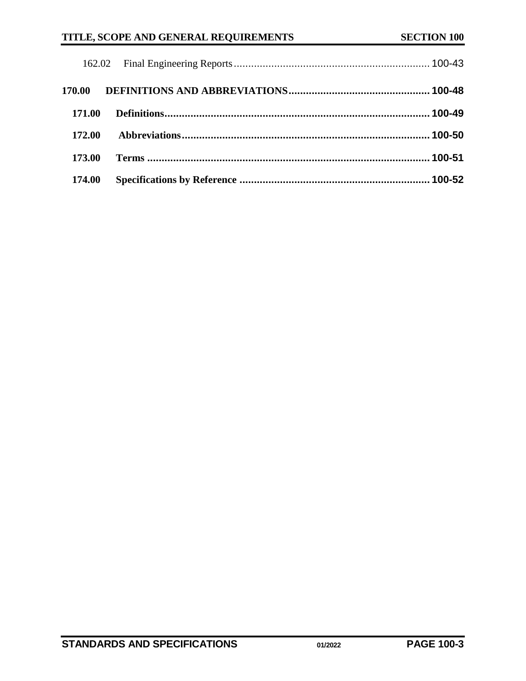| 170.00 |  |
|--------|--|
| 171.00 |  |
| 172.00 |  |
| 173.00 |  |
| 174.00 |  |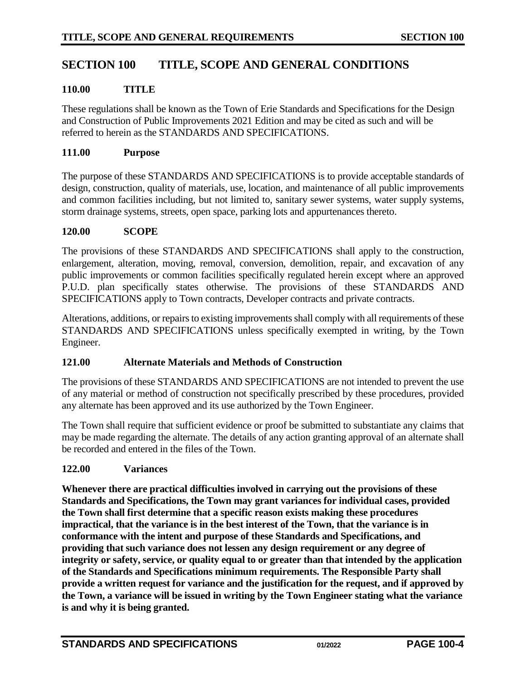## **SECTION 100 TITLE, SCOPE AND GENERAL CONDITIONS**

## <span id="page-3-0"></span>**110.00 TITLE**

These regulations shall be known as the Town of Erie Standards and Specifications for the Design and Construction of Public Improvements 2021 Edition and may be cited as such and will be referred to herein as the STANDARDS AND SPECIFICATIONS.

#### <span id="page-3-1"></span>**111.00 Purpose**

The purpose of these STANDARDS AND SPECIFICATIONS is to provide acceptable standards of design, construction, quality of materials, use, location, and maintenance of all public improvements and common facilities including, but not limited to, sanitary sewer systems, water supply systems, storm drainage systems, streets, open space, parking lots and appurtenances thereto.

#### <span id="page-3-2"></span>**120.00 SCOPE**

The provisions of these STANDARDS AND SPECIFICATIONS shall apply to the construction, enlargement, alteration, moving, removal, conversion, demolition, repair, and excavation of any public improvements or common facilities specifically regulated herein except where an approved P.U.D. plan specifically states otherwise. The provisions of these STANDARDS AND SPECIFICATIONS apply to Town contracts, Developer contracts and private contracts.

Alterations, additions, or repairs to existing improvements shall comply with all requirements of these STANDARDS AND SPECIFICATIONS unless specifically exempted in writing, by the Town Engineer.

#### <span id="page-3-3"></span>**121.00 Alternate Materials and Methods of Construction**

The provisions of these STANDARDS AND SPECIFICATIONS are not intended to prevent the use of any material or method of construction not specifically prescribed by these procedures, provided any alternate has been approved and its use authorized by the Town Engineer.

The Town shall require that sufficient evidence or proof be submitted to substantiate any claims that may be made regarding the alternate. The details of any action granting approval of an alternate shall be recorded and entered in the files of the Town.

#### <span id="page-3-4"></span>**122.00 Variances**

**Whenever there are practical difficulties involved in carrying out the provisions of these Standards and Specifications, the Town may grant variances for individual cases, provided the Town shall first determine that a specific reason exists making these procedures impractical, that the variance is in the best interest of the Town, that the variance is in conformance with the intent and purpose of these Standards and Specifications, and providing that such variance does not lessen any design requirement or any degree of integrity or safety, service, or quality equal to or greater than that intended by the application of the Standards and Specifications minimum requirements. The Responsible Party shall provide a written request for variance and the justification for the request, and if approved by the Town, a variance will be issued in writing by the Town Engineer stating what the variance is and why it is being granted.**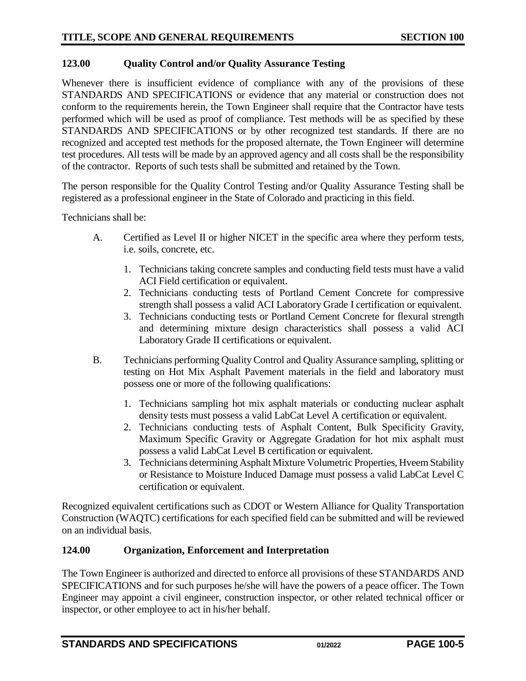## <span id="page-4-0"></span>**123.00 Quality Control and/or Quality Assurance Testing**

Whenever there is insufficient evidence of compliance with any of the provisions of these STANDARDS AND SPECIFICATIONS or evidence that any material or construction does not conform to the requirements herein, the Town Engineer shall require that the Contractor have tests performed which will be used as proof of compliance. Test methods will be as specified by these STANDARDS AND SPECIFICATIONS or by other recognized test standards. If there are no recognized and accepted test methods for the proposed alternate, the Town Engineer will determine test procedures. All tests will be made by an approved agency and all costs shall be the responsibility of the contractor. Reports of such tests shall be submitted and retained by the Town.

The person responsible for the Quality Control Testing and/or Quality Assurance Testing shall be registered as a professional engineer in the State of Colorado and practicing in this field.

Technicians shall be:

- A. Certified as Level II or higher NICET in the specific area where they perform tests, i.e. soils, concrete, etc.
	- 1. Technicians taking concrete samples and conducting field tests must have a valid ACI Field certification or equivalent.
	- 2. Technicians conducting tests of Portland Cement Concrete for compressive strength shall possess a valid ACI Laboratory Grade I certification or equivalent.
	- 3. Technicians conducting tests or Portland Cement Concrete for flexural strength and determining mixture design characteristics shall possess a valid ACI Laboratory Grade II certifications or equivalent.
- B. Technicians performing Quality Control and Quality Assurance sampling, splitting or testing on Hot Mix Asphalt Pavement materials in the field and laboratory must possess one or more of the following qualifications:
	- 1. Technicians sampling hot mix asphalt materials or conducting nuclear asphalt density tests must possess a valid LabCat Level A certification or equivalent.
	- 2. Technicians conducting tests of Asphalt Content, Bulk Specificity Gravity, Maximum Specific Gravity or Aggregate Gradation for hot mix asphalt must possess a valid LabCat Level B certification or equivalent.
	- 3. Technicians determining Asphalt Mixture Volumetric Properties, Hveem Stability or Resistance to Moisture Induced Damage must possess a valid LabCat Level C certification or equivalent.

Recognized equivalent certifications such as CDOT or Western Alliance for Quality Transportation Construction (WAQTC) certifications for each specified field can be submitted and will be reviewed on an individual basis.

#### <span id="page-4-1"></span>**124.00 Organization, Enforcement and Interpretation**

The Town Engineer is authorized and directed to enforce all provisions of these STANDARDS AND SPECIFICATIONS and for such purposes he/she will have the powers of a peace officer. The Town Engineer may appoint a civil engineer, construction inspector, or other related technical officer or inspector, or other employee to act in his/her behalf.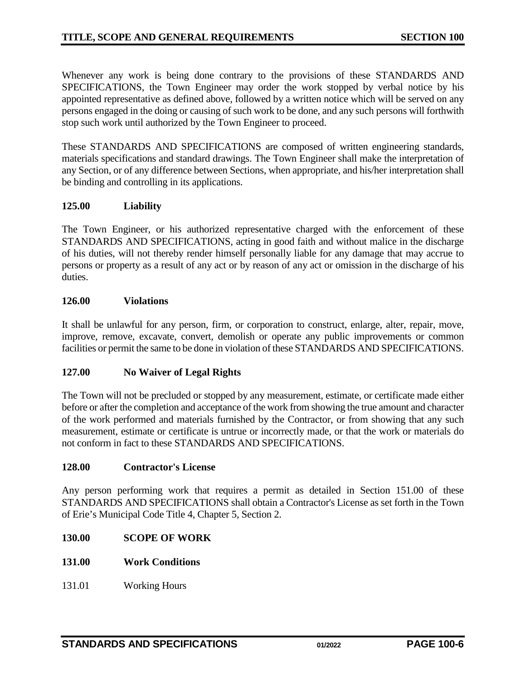Whenever any work is being done contrary to the provisions of these STANDARDS AND SPECIFICATIONS, the Town Engineer may order the work stopped by verbal notice by his appointed representative as defined above, followed by a written notice which will be served on any persons engaged in the doing or causing of such work to be done, and any such persons will forthwith stop such work until authorized by the Town Engineer to proceed.

These STANDARDS AND SPECIFICATIONS are composed of written engineering standards, materials specifications and standard drawings. The Town Engineer shall make the interpretation of any Section, or of any difference between Sections, when appropriate, and his/her interpretation shall be binding and controlling in its applications.

## <span id="page-5-0"></span>**125.00 Liability**

The Town Engineer, or his authorized representative charged with the enforcement of these STANDARDS AND SPECIFICATIONS, acting in good faith and without malice in the discharge of his duties, will not thereby render himself personally liable for any damage that may accrue to persons or property as a result of any act or by reason of any act or omission in the discharge of his duties.

#### <span id="page-5-1"></span>**126.00 Violations**

It shall be unlawful for any person, firm, or corporation to construct, enlarge, alter, repair, move, improve, remove, excavate, convert, demolish or operate any public improvements or common facilities or permit the same to be done in violation of these STANDARDS AND SPECIFICATIONS.

## <span id="page-5-2"></span>**127.00 No Waiver of Legal Rights**

The Town will not be precluded or stopped by any measurement, estimate, or certificate made either before or after the completion and acceptance of the work from showing the true amount and character of the work performed and materials furnished by the Contractor, or from showing that any such measurement, estimate or certificate is untrue or incorrectly made, or that the work or materials do not conform in fact to these STANDARDS AND SPECIFICATIONS.

#### <span id="page-5-3"></span>**128.00 Contractor's License**

Any person performing work that requires a permit as detailed in Section 151.00 of these STANDARDS AND SPECIFICATIONS shall obtain a Contractor's License as set forth in the Town of Erie's Municipal Code Title 4, Chapter 5, Section 2.

- <span id="page-5-4"></span>**130.00 SCOPE OF WORK**
- <span id="page-5-5"></span>**131.00 Work Conditions**
- <span id="page-5-6"></span>131.01 Working Hours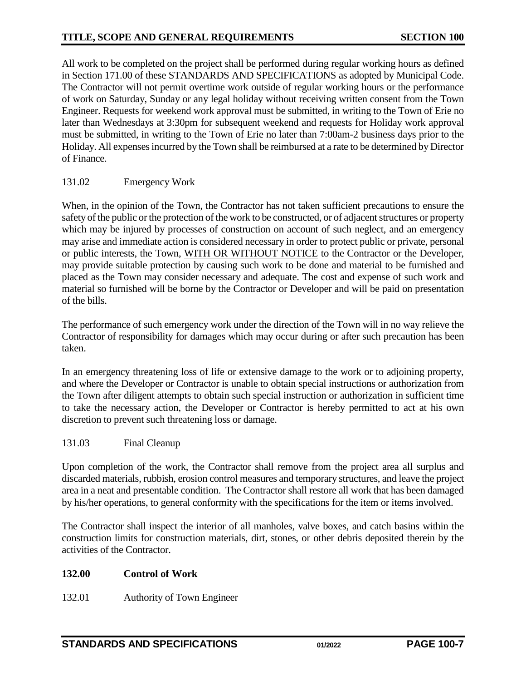All work to be completed on the project shall be performed during regular working hours as defined in Section 171.00 of these STANDARDS AND SPECIFICATIONS as adopted by Municipal Code. The Contractor will not permit overtime work outside of regular working hours or the performance of work on Saturday, Sunday or any legal holiday without receiving written consent from the Town Engineer. Requests for weekend work approval must be submitted, in writing to the Town of Erie no later than Wednesdays at 3:30pm for subsequent weekend and requests for Holiday work approval must be submitted, in writing to the Town of Erie no later than 7:00am-2 business days prior to the Holiday. All expenses incurred by the Town shall be reimbursed at a rate to be determined by Director of Finance.

## <span id="page-6-0"></span>131.02 Emergency Work

When, in the opinion of the Town, the Contractor has not taken sufficient precautions to ensure the safety of the public or the protection of the work to be constructed, or of adjacent structures or property which may be injured by processes of construction on account of such neglect, and an emergency may arise and immediate action is considered necessary in order to protect public or private, personal or public interests, the Town, WITH OR WITHOUT NOTICE to the Contractor or the Developer, may provide suitable protection by causing such work to be done and material to be furnished and placed as the Town may consider necessary and adequate. The cost and expense of such work and material so furnished will be borne by the Contractor or Developer and will be paid on presentation of the bills.

The performance of such emergency work under the direction of the Town will in no way relieve the Contractor of responsibility for damages which may occur during or after such precaution has been taken.

In an emergency threatening loss of life or extensive damage to the work or to adjoining property, and where the Developer or Contractor is unable to obtain special instructions or authorization from the Town after diligent attempts to obtain such special instruction or authorization in sufficient time to take the necessary action, the Developer or Contractor is hereby permitted to act at his own discretion to prevent such threatening loss or damage.

## <span id="page-6-1"></span>131.03 Final Cleanup

Upon completion of the work, the Contractor shall remove from the project area all surplus and discarded materials, rubbish, erosion control measures and temporary structures, and leave the project area in a neat and presentable condition. The Contractor shall restore all work that has been damaged by his/her operations, to general conformity with the specifications for the item or items involved.

The Contractor shall inspect the interior of all manholes, valve boxes, and catch basins within the construction limits for construction materials, dirt, stones, or other debris deposited therein by the activities of the Contractor.

## <span id="page-6-2"></span>**132.00 Control of Work**

<span id="page-6-3"></span>132.01 Authority of Town Engineer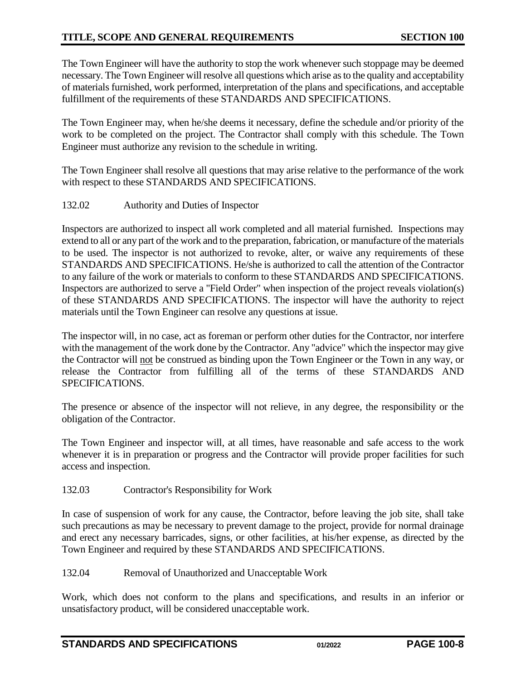The Town Engineer will have the authority to stop the work whenever such stoppage may be deemed necessary. The Town Engineer will resolve all questions which arise as to the quality and acceptability of materials furnished, work performed, interpretation of the plans and specifications, and acceptable fulfillment of the requirements of these STANDARDS AND SPECIFICATIONS.

The Town Engineer may, when he/she deems it necessary, define the schedule and/or priority of the work to be completed on the project. The Contractor shall comply with this schedule. The Town Engineer must authorize any revision to the schedule in writing.

The Town Engineer shall resolve all questions that may arise relative to the performance of the work with respect to these STANDARDS AND SPECIFICATIONS.

<span id="page-7-0"></span>132.02 Authority and Duties of Inspector

Inspectors are authorized to inspect all work completed and all material furnished. Inspections may extend to all or any part of the work and to the preparation, fabrication, or manufacture of the materials to be used. The inspector is not authorized to revoke, alter, or waive any requirements of these STANDARDS AND SPECIFICATIONS. He/she is authorized to call the attention of the Contractor to any failure of the work or materials to conform to these STANDARDS AND SPECIFICATIONS. Inspectors are authorized to serve a "Field Order" when inspection of the project reveals violation(s) of these STANDARDS AND SPECIFICATIONS. The inspector will have the authority to reject materials until the Town Engineer can resolve any questions at issue.

The inspector will, in no case, act as foreman or perform other duties for the Contractor, nor interfere with the management of the work done by the Contractor. Any "advice" which the inspector may give the Contractor will not be construed as binding upon the Town Engineer or the Town in any way, or release the Contractor from fulfilling all of the terms of these STANDARDS AND SPECIFICATIONS.

The presence or absence of the inspector will not relieve, in any degree, the responsibility or the obligation of the Contractor.

The Town Engineer and inspector will, at all times, have reasonable and safe access to the work whenever it is in preparation or progress and the Contractor will provide proper facilities for such access and inspection.

<span id="page-7-1"></span>132.03 Contractor's Responsibility for Work

In case of suspension of work for any cause, the Contractor, before leaving the job site, shall take such precautions as may be necessary to prevent damage to the project, provide for normal drainage and erect any necessary barricades, signs, or other facilities, at his/her expense, as directed by the Town Engineer and required by these STANDARDS AND SPECIFICATIONS.

<span id="page-7-2"></span>132.04 Removal of Unauthorized and Unacceptable Work

Work, which does not conform to the plans and specifications, and results in an inferior or unsatisfactory product, will be considered unacceptable work.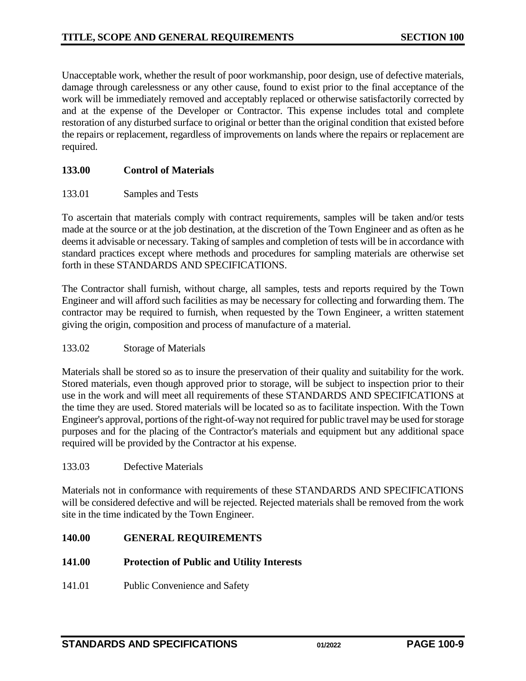Unacceptable work, whether the result of poor workmanship, poor design, use of defective materials, damage through carelessness or any other cause, found to exist prior to the final acceptance of the work will be immediately removed and acceptably replaced or otherwise satisfactorily corrected by and at the expense of the Developer or Contractor. This expense includes total and complete restoration of any disturbed surface to original or better than the original condition that existed before the repairs or replacement, regardless of improvements on lands where the repairs or replacement are required.

#### <span id="page-8-0"></span>**133.00 Control of Materials**

#### <span id="page-8-1"></span>133.01 Samples and Tests

To ascertain that materials comply with contract requirements, samples will be taken and/or tests made at the source or at the job destination, at the discretion of the Town Engineer and as often as he deems it advisable or necessary. Taking of samples and completion of tests will be in accordance with standard practices except where methods and procedures for sampling materials are otherwise set forth in these STANDARDS AND SPECIFICATIONS.

The Contractor shall furnish, without charge, all samples, tests and reports required by the Town Engineer and will afford such facilities as may be necessary for collecting and forwarding them. The contractor may be required to furnish, when requested by the Town Engineer, a written statement giving the origin, composition and process of manufacture of a material.

#### <span id="page-8-2"></span>133.02 Storage of Materials

Materials shall be stored so as to insure the preservation of their quality and suitability for the work. Stored materials, even though approved prior to storage, will be subject to inspection prior to their use in the work and will meet all requirements of these STANDARDS AND SPECIFICATIONS at the time they are used. Stored materials will be located so as to facilitate inspection. With the Town Engineer's approval, portions of the right-of-way not required for public travel may be used for storage purposes and for the placing of the Contractor's materials and equipment but any additional space required will be provided by the Contractor at his expense.

#### <span id="page-8-3"></span>133.03 Defective Materials

Materials not in conformance with requirements of these STANDARDS AND SPECIFICATIONS will be considered defective and will be rejected. Rejected materials shall be removed from the work site in the time indicated by the Town Engineer.

#### <span id="page-8-4"></span>**140.00 GENERAL REQUIREMENTS**

#### <span id="page-8-5"></span>**141.00 Protection of Public and Utility Interests**

<span id="page-8-6"></span>141.01 Public Convenience and Safety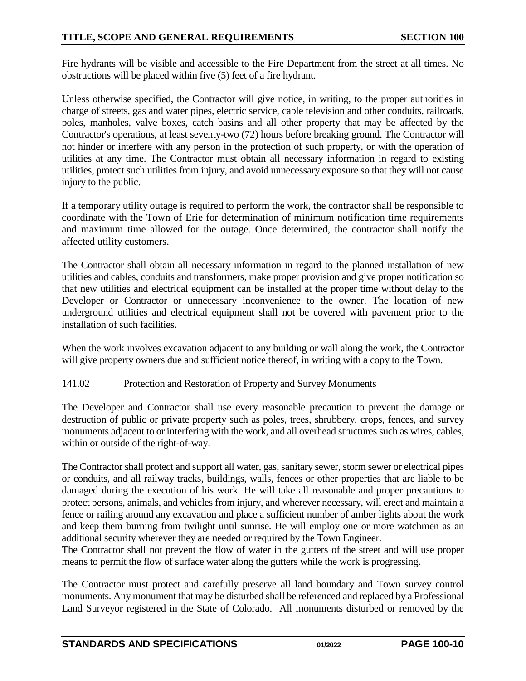Fire hydrants will be visible and accessible to the Fire Department from the street at all times. No obstructions will be placed within five (5) feet of a fire hydrant.

Unless otherwise specified, the Contractor will give notice, in writing, to the proper authorities in charge of streets, gas and water pipes, electric service, cable television and other conduits, railroads, poles, manholes, valve boxes, catch basins and all other property that may be affected by the Contractor's operations, at least seventy-two (72) hours before breaking ground. The Contractor will not hinder or interfere with any person in the protection of such property, or with the operation of utilities at any time. The Contractor must obtain all necessary information in regard to existing utilities, protect such utilities from injury, and avoid unnecessary exposure so that they will not cause injury to the public.

If a temporary utility outage is required to perform the work, the contractor shall be responsible to coordinate with the Town of Erie for determination of minimum notification time requirements and maximum time allowed for the outage. Once determined, the contractor shall notify the affected utility customers.

The Contractor shall obtain all necessary information in regard to the planned installation of new utilities and cables, conduits and transformers, make proper provision and give proper notification so that new utilities and electrical equipment can be installed at the proper time without delay to the Developer or Contractor or unnecessary inconvenience to the owner. The location of new underground utilities and electrical equipment shall not be covered with pavement prior to the installation of such facilities.

When the work involves excavation adjacent to any building or wall along the work, the Contractor will give property owners due and sufficient notice thereof, in writing with a copy to the Town.

## <span id="page-9-0"></span>141.02 Protection and Restoration of Property and Survey Monuments

The Developer and Contractor shall use every reasonable precaution to prevent the damage or destruction of public or private property such as poles, trees, shrubbery, crops, fences, and survey monuments adjacent to or interfering with the work, and all overhead structures such as wires, cables, within or outside of the right-of-way.

The Contractor shall protect and support all water, gas, sanitary sewer, storm sewer or electrical pipes or conduits, and all railway tracks, buildings, walls, fences or other properties that are liable to be damaged during the execution of his work. He will take all reasonable and proper precautions to protect persons, animals, and vehicles from injury, and wherever necessary, will erect and maintain a fence or railing around any excavation and place a sufficient number of amber lights about the work and keep them burning from twilight until sunrise. He will employ one or more watchmen as an additional security wherever they are needed or required by the Town Engineer.

The Contractor shall not prevent the flow of water in the gutters of the street and will use proper means to permit the flow of surface water along the gutters while the work is progressing.

The Contractor must protect and carefully preserve all land boundary and Town survey control monuments. Any monument that may be disturbed shall be referenced and replaced by a Professional Land Surveyor registered in the State of Colorado. All monuments disturbed or removed by the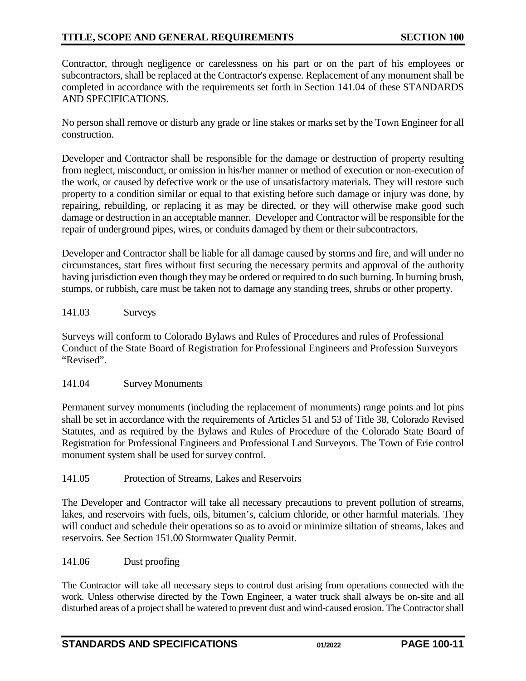Contractor, through negligence or carelessness on his part or on the part of his employees or subcontractors, shall be replaced at the Contractor's expense. Replacement of any monument shall be completed in accordance with the requirements set forth in Section 141.04 of these STANDARDS AND SPECIFICATIONS.

No person shall remove or disturb any grade or line stakes or marks set by the Town Engineer for all construction.

Developer and Contractor shall be responsible for the damage or destruction of property resulting from neglect, misconduct, or omission in his/her manner or method of execution or non-execution of the work, or caused by defective work or the use of unsatisfactory materials. They will restore such property to a condition similar or equal to that existing before such damage or injury was done, by repairing, rebuilding, or replacing it as may be directed, or they will otherwise make good such damage or destruction in an acceptable manner. Developer and Contractor will be responsible for the repair of underground pipes, wires, or conduits damaged by them or their subcontractors.

Developer and Contractor shall be liable for all damage caused by storms and fire, and will under no circumstances, start fires without first securing the necessary permits and approval of the authority having jurisdiction even though they may be ordered or required to do such burning. In burning brush, stumps, or rubbish, care must be taken not to damage any standing trees, shrubs or other property.

## <span id="page-10-0"></span>141.03 Surveys

Surveys will conform to Colorado Bylaws and Rules of Procedures and rules of Professional Conduct of the State Board of Registration for Professional Engineers and Profession Surveyors "Revised".

#### <span id="page-10-1"></span>141.04 Survey Monuments

Permanent survey monuments (including the replacement of monuments) range points and lot pins shall be set in accordance with the requirements of Articles 51 and 53 of Title 38, Colorado Revised Statutes, and as required by the Bylaws and Rules of Procedure of the Colorado State Board of Registration for Professional Engineers and Professional Land Surveyors. The Town of Erie control monument system shall be used for survey control.

#### <span id="page-10-2"></span>141.05 Protection of Streams, Lakes and Reservoirs

The Developer and Contractor will take all necessary precautions to prevent pollution of streams, lakes, and reservoirs with fuels, oils, bitumen's, calcium chloride, or other harmful materials. They will conduct and schedule their operations so as to avoid or minimize siltation of streams, lakes and reservoirs. See Section 151.00 Stormwater Quality Permit.

#### <span id="page-10-3"></span>141.06 Dust proofing

The Contractor will take all necessary steps to control dust arising from operations connected with the work. Unless otherwise directed by the Town Engineer, a water truck shall always be on-site and all disturbed areas of a project shall be watered to prevent dust and wind-caused erosion. The Contractor shall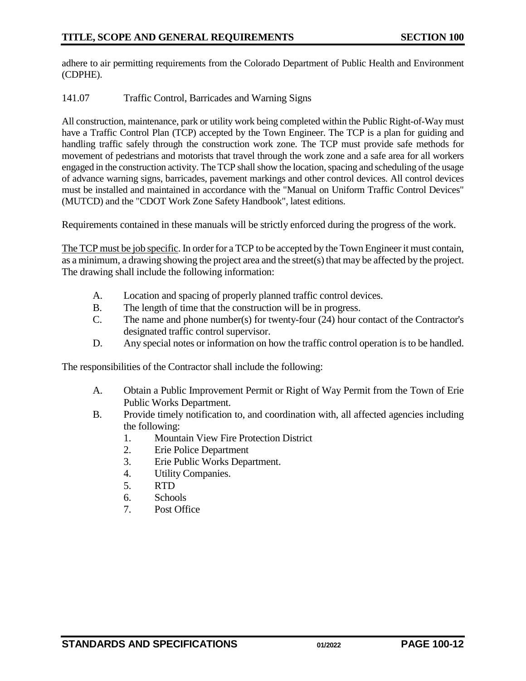adhere to air permitting requirements from the Colorado Department of Public Health and Environment (CDPHE).

#### <span id="page-11-0"></span>141.07 Traffic Control, Barricades and Warning Signs

All construction, maintenance, park or utility work being completed within the Public Right-of-Way must have a Traffic Control Plan (TCP) accepted by the Town Engineer. The TCP is a plan for guiding and handling traffic safely through the construction work zone. The TCP must provide safe methods for movement of pedestrians and motorists that travel through the work zone and a safe area for all workers engaged in the construction activity. The TCP shall show the location, spacing and scheduling of the usage of advance warning signs, barricades, pavement markings and other control devices. All control devices must be installed and maintained in accordance with the "Manual on Uniform Traffic Control Devices" (MUTCD) and the "CDOT Work Zone Safety Handbook", latest editions.

Requirements contained in these manuals will be strictly enforced during the progress of the work.

The TCP must be job specific. In order for a TCP to be accepted by the Town Engineer it must contain, as a minimum, a drawing showing the project area and the street(s) that may be affected by the project. The drawing shall include the following information:

- A. Location and spacing of properly planned traffic control devices.
- B. The length of time that the construction will be in progress.
- C. The name and phone number(s) for twenty-four (24) hour contact of the Contractor's designated traffic control supervisor.
- D. Any special notes or information on how the traffic control operation is to be handled.

The responsibilities of the Contractor shall include the following:

- A. Obtain a Public Improvement Permit or Right of Way Permit from the Town of Erie Public Works Department.
- B. Provide timely notification to, and coordination with, all affected agencies including the following:
	- 1. Mountain View Fire Protection District
	- 2. Erie Police Department
	- 3. Erie Public Works Department.
	- 4. Utility Companies.
	- 5. RTD
	- 6. Schools
	- 7. Post Office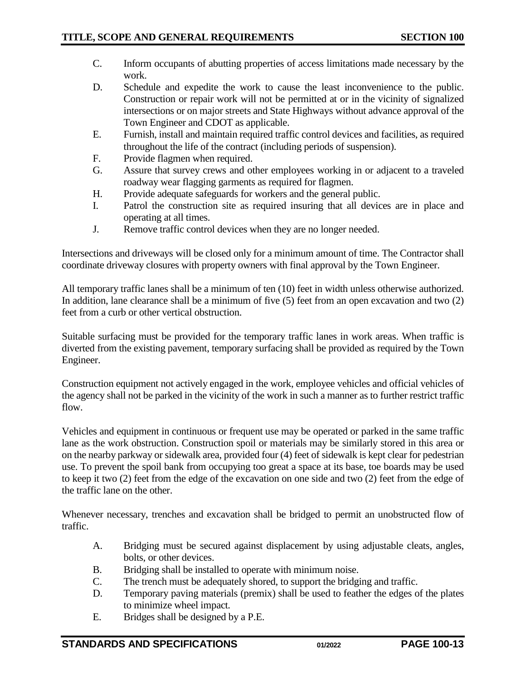- C. Inform occupants of abutting properties of access limitations made necessary by the work.
- D. Schedule and expedite the work to cause the least inconvenience to the public. Construction or repair work will not be permitted at or in the vicinity of signalized intersections or on major streets and State Highways without advance approval of the Town Engineer and CDOT as applicable.
- E. Furnish, install and maintain required traffic control devices and facilities, as required throughout the life of the contract (including periods of suspension).
- F. Provide flagmen when required.
- G. Assure that survey crews and other employees working in or adjacent to a traveled roadway wear flagging garments as required for flagmen.
- H. Provide adequate safeguards for workers and the general public.
- I. Patrol the construction site as required insuring that all devices are in place and operating at all times.
- J. Remove traffic control devices when they are no longer needed.

Intersections and driveways will be closed only for a minimum amount of time. The Contractor shall coordinate driveway closures with property owners with final approval by the Town Engineer.

All temporary traffic lanes shall be a minimum of ten (10) feet in width unless otherwise authorized. In addition, lane clearance shall be a minimum of five (5) feet from an open excavation and two (2) feet from a curb or other vertical obstruction.

Suitable surfacing must be provided for the temporary traffic lanes in work areas. When traffic is diverted from the existing pavement, temporary surfacing shall be provided as required by the Town Engineer.

Construction equipment not actively engaged in the work, employee vehicles and official vehicles of the agency shall not be parked in the vicinity of the work in such a manner as to further restrict traffic flow.

Vehicles and equipment in continuous or frequent use may be operated or parked in the same traffic lane as the work obstruction. Construction spoil or materials may be similarly stored in this area or on the nearby parkway or sidewalk area, provided four (4) feet of sidewalk is kept clear for pedestrian use. To prevent the spoil bank from occupying too great a space at its base, toe boards may be used to keep it two (2) feet from the edge of the excavation on one side and two (2) feet from the edge of the traffic lane on the other.

Whenever necessary, trenches and excavation shall be bridged to permit an unobstructed flow of traffic.

- A. Bridging must be secured against displacement by using adjustable cleats, angles, bolts, or other devices.
- B. Bridging shall be installed to operate with minimum noise.
- C. The trench must be adequately shored, to support the bridging and traffic.
- D. Temporary paving materials (premix) shall be used to feather the edges of the plates to minimize wheel impact.
- E. Bridges shall be designed by a P.E.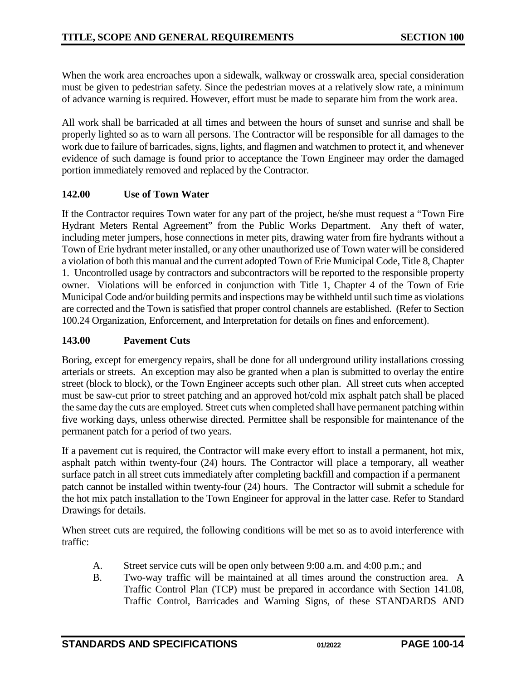When the work area encroaches upon a sidewalk, walkway or crosswalk area, special consideration must be given to pedestrian safety. Since the pedestrian moves at a relatively slow rate, a minimum of advance warning is required. However, effort must be made to separate him from the work area.

All work shall be barricaded at all times and between the hours of sunset and sunrise and shall be properly lighted so as to warn all persons. The Contractor will be responsible for all damages to the work due to failure of barricades, signs, lights, and flagmen and watchmen to protect it, and whenever evidence of such damage is found prior to acceptance the Town Engineer may order the damaged portion immediately removed and replaced by the Contractor.

## <span id="page-13-0"></span>**142.00 Use of Town Water**

If the Contractor requires Town water for any part of the project, he/she must request a "Town Fire Hydrant Meters Rental Agreement" from the Public Works Department. Any theft of water, including meter jumpers, hose connections in meter pits, drawing water from fire hydrants without a Town of Erie hydrant meter installed, or any other unauthorized use of Town water will be considered a violation of both this manual and the current adopted Town of Erie Municipal Code, Title 8, Chapter 1. Uncontrolled usage by contractors and subcontractors will be reported to the responsible property owner. Violations will be enforced in conjunction with Title 1, Chapter 4 of the Town of Erie Municipal Code and/or building permits and inspections may be withheld until such time as violations are corrected and the Town is satisfied that proper control channels are established. (Refer to Section 100.24 Organization, Enforcement, and Interpretation for details on fines and enforcement).

#### <span id="page-13-1"></span>**143.00 Pavement Cuts**

Boring, except for emergency repairs, shall be done for all underground utility installations crossing arterials or streets. An exception may also be granted when a plan is submitted to overlay the entire street (block to block), or the Town Engineer accepts such other plan. All street cuts when accepted must be saw-cut prior to street patching and an approved hot/cold mix asphalt patch shall be placed the same day the cuts are employed. Street cuts when completed shall have permanent patching within five working days, unless otherwise directed. Permittee shall be responsible for maintenance of the permanent patch for a period of two years.

If a pavement cut is required, the Contractor will make every effort to install a permanent, hot mix, asphalt patch within twenty-four (24) hours. The Contractor will place a temporary, all weather surface patch in all street cuts immediately after completing backfill and compaction if a permanent patch cannot be installed within twenty-four (24) hours. The Contractor will submit a schedule for the hot mix patch installation to the Town Engineer for approval in the latter case. Refer to Standard Drawings for details.

When street cuts are required, the following conditions will be met so as to avoid interference with traffic:

- A. Street service cuts will be open only between 9:00 a.m. and 4:00 p.m.; and
- B. Two-way traffic will be maintained at all times around the construction area. A Traffic Control Plan (TCP) must be prepared in accordance with Section 141.08, Traffic Control, Barricades and Warning Signs, of these STANDARDS AND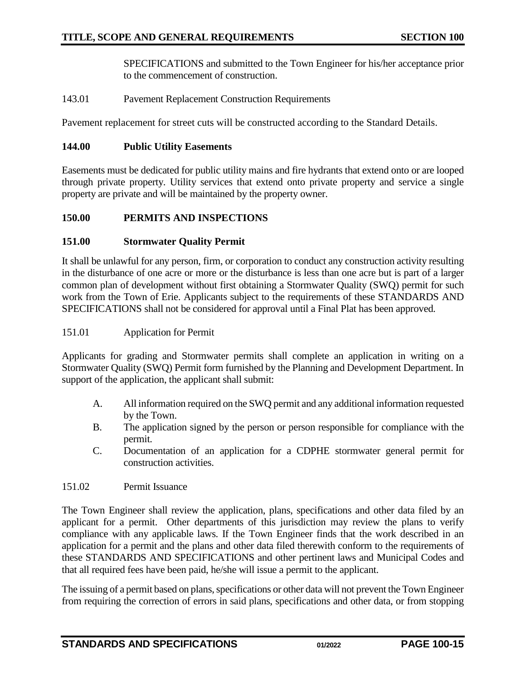SPECIFICATIONS and submitted to the Town Engineer for his/her acceptance prior to the commencement of construction.

<span id="page-14-0"></span>143.01 Pavement Replacement Construction Requirements

Pavement replacement for street cuts will be constructed according to the Standard Details.

#### <span id="page-14-1"></span>**144.00 Public Utility Easements**

Easements must be dedicated for public utility mains and fire hydrants that extend onto or are looped through private property. Utility services that extend onto private property and service a single property are private and will be maintained by the property owner.

## <span id="page-14-2"></span>**150.00 PERMITS AND INSPECTIONS**

## <span id="page-14-3"></span>**151.00 Stormwater Quality Permit**

It shall be unlawful for any person, firm, or corporation to conduct any construction activity resulting in the disturbance of one acre or more or the disturbance is less than one acre but is part of a larger common plan of development without first obtaining a Stormwater Quality (SWQ) permit for such work from the Town of Erie. Applicants subject to the requirements of these STANDARDS AND SPECIFICATIONS shall not be considered for approval until a Final Plat has been approved.

## <span id="page-14-4"></span>151.01 Application for Permit

Applicants for grading and Stormwater permits shall complete an application in writing on a Stormwater Quality (SWQ) Permit form furnished by the Planning and Development Department. In support of the application, the applicant shall submit:

- A. All information required on the SWQ permit and any additional information requested by the Town.
- B. The application signed by the person or person responsible for compliance with the permit.
- C. Documentation of an application for a CDPHE stormwater general permit for construction activities.
- <span id="page-14-5"></span>151.02 Permit Issuance

The Town Engineer shall review the application, plans, specifications and other data filed by an applicant for a permit. Other departments of this jurisdiction may review the plans to verify compliance with any applicable laws. If the Town Engineer finds that the work described in an application for a permit and the plans and other data filed therewith conform to the requirements of these STANDARDS AND SPECIFICATIONS and other pertinent laws and Municipal Codes and that all required fees have been paid, he/she will issue a permit to the applicant.

The issuing of a permit based on plans, specifications or other data will not prevent the Town Engineer from requiring the correction of errors in said plans, specifications and other data, or from stopping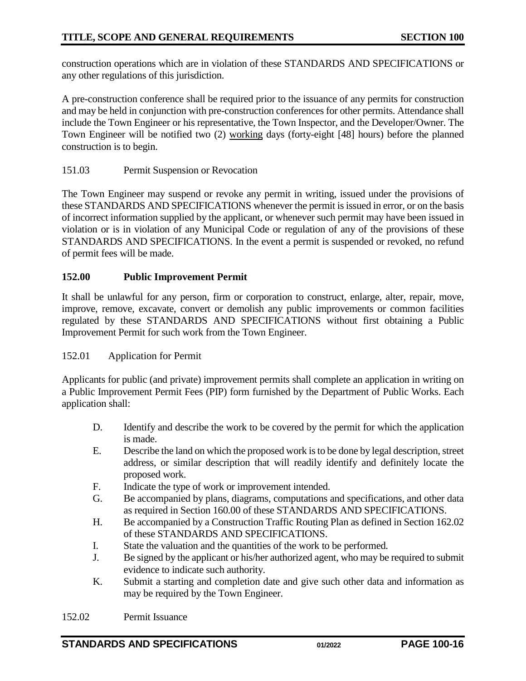construction operations which are in violation of these STANDARDS AND SPECIFICATIONS or any other regulations of this jurisdiction.

A pre-construction conference shall be required prior to the issuance of any permits for construction and may be held in conjunction with pre-construction conferences for other permits. Attendance shall include the Town Engineer or his representative, the Town Inspector, and the Developer/Owner. The Town Engineer will be notified two (2) working days (forty-eight [48] hours) before the planned construction is to begin.

## <span id="page-15-0"></span>151.03 Permit Suspension or Revocation

The Town Engineer may suspend or revoke any permit in writing, issued under the provisions of these STANDARDS AND SPECIFICATIONS whenever the permit is issued in error, or on the basis of incorrect information supplied by the applicant, or whenever such permit may have been issued in violation or is in violation of any Municipal Code or regulation of any of the provisions of these STANDARDS AND SPECIFICATIONS. In the event a permit is suspended or revoked, no refund of permit fees will be made.

## <span id="page-15-1"></span>**152.00 Public Improvement Permit**

It shall be unlawful for any person, firm or corporation to construct, enlarge, alter, repair, move, improve, remove, excavate, convert or demolish any public improvements or common facilities regulated by these STANDARDS AND SPECIFICATIONS without first obtaining a Public Improvement Permit for such work from the Town Engineer.

#### 152.01 Application for Permit

Applicants for public (and private) improvement permits shall complete an application in writing on a Public Improvement Permit Fees (PIP) form furnished by the Department of Public Works. Each application shall:

- D. Identify and describe the work to be covered by the permit for which the application is made.
- E. Describe the land on which the proposed work is to be done by legal description, street address, or similar description that will readily identify and definitely locate the proposed work.
- F. Indicate the type of work or improvement intended.
- G. Be accompanied by plans, diagrams, computations and specifications, and other data as required in Section 160.00 of these STANDARDS AND SPECIFICATIONS.
- H. Be accompanied by a Construction Traffic Routing Plan as defined in Section 162.02 of these STANDARDS AND SPECIFICATIONS.
- I. State the valuation and the quantities of the work to be performed.
- J. Be signed by the applicant or his/her authorized agent, who may be required to submit evidence to indicate such authority.
- K. Submit a starting and completion date and give such other data and information as may be required by the Town Engineer.
- <span id="page-15-2"></span>152.02 Permit Issuance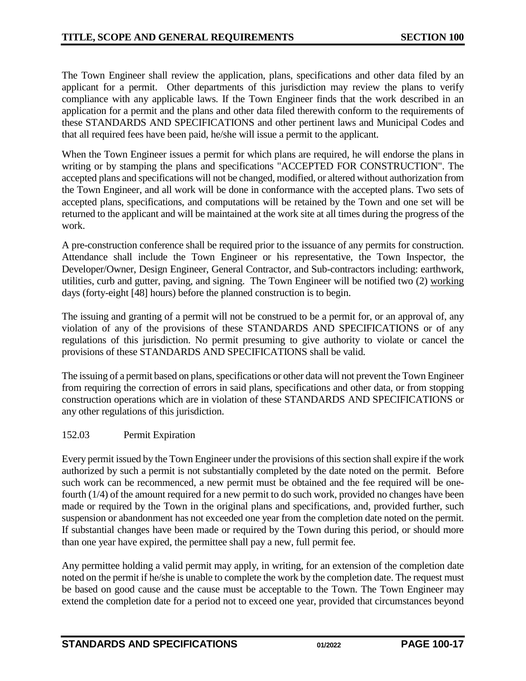The Town Engineer shall review the application, plans, specifications and other data filed by an applicant for a permit. Other departments of this jurisdiction may review the plans to verify compliance with any applicable laws. If the Town Engineer finds that the work described in an application for a permit and the plans and other data filed therewith conform to the requirements of these STANDARDS AND SPECIFICATIONS and other pertinent laws and Municipal Codes and that all required fees have been paid, he/she will issue a permit to the applicant.

When the Town Engineer issues a permit for which plans are required, he will endorse the plans in writing or by stamping the plans and specifications "ACCEPTED FOR CONSTRUCTION". The accepted plans and specifications will not be changed, modified, or altered without authorization from the Town Engineer, and all work will be done in conformance with the accepted plans. Two sets of accepted plans, specifications, and computations will be retained by the Town and one set will be returned to the applicant and will be maintained at the work site at all times during the progress of the work.

A pre-construction conference shall be required prior to the issuance of any permits for construction. Attendance shall include the Town Engineer or his representative, the Town Inspector, the Developer/Owner, Design Engineer, General Contractor, and Sub-contractors including: earthwork, utilities, curb and gutter, paving, and signing. The Town Engineer will be notified two (2) working days (forty-eight [48] hours) before the planned construction is to begin.

The issuing and granting of a permit will not be construed to be a permit for, or an approval of, any violation of any of the provisions of these STANDARDS AND SPECIFICATIONS or of any regulations of this jurisdiction. No permit presuming to give authority to violate or cancel the provisions of these STANDARDS AND SPECIFICATIONS shall be valid.

The issuing of a permit based on plans, specifications or other data will not prevent the Town Engineer from requiring the correction of errors in said plans, specifications and other data, or from stopping construction operations which are in violation of these STANDARDS AND SPECIFICATIONS or any other regulations of this jurisdiction.

## <span id="page-16-0"></span>152.03 Permit Expiration

Every permit issued by the Town Engineer under the provisions of this section shall expire if the work authorized by such a permit is not substantially completed by the date noted on the permit. Before such work can be recommenced, a new permit must be obtained and the fee required will be onefourth (1/4) of the amount required for a new permit to do such work, provided no changes have been made or required by the Town in the original plans and specifications, and, provided further, such suspension or abandonment has not exceeded one year from the completion date noted on the permit. If substantial changes have been made or required by the Town during this period, or should more than one year have expired, the permittee shall pay a new, full permit fee.

Any permittee holding a valid permit may apply, in writing, for an extension of the completion date noted on the permit if he/she is unable to complete the work by the completion date. The request must be based on good cause and the cause must be acceptable to the Town. The Town Engineer may extend the completion date for a period not to exceed one year, provided that circumstances beyond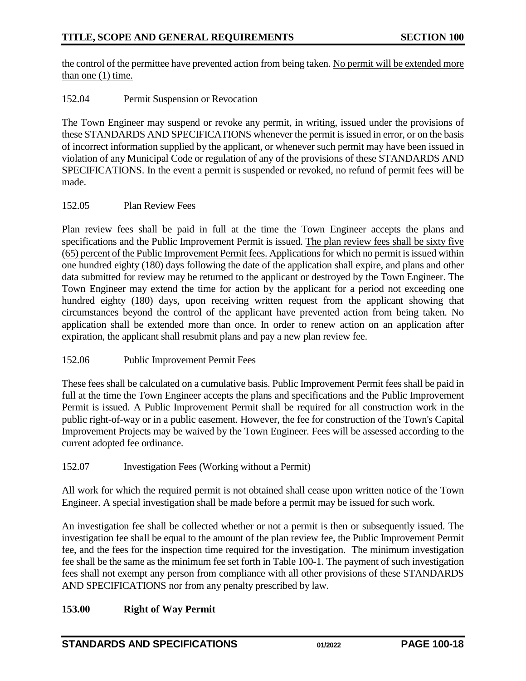the control of the permittee have prevented action from being taken. No permit will be extended more than one  $(1)$  time.

<span id="page-17-0"></span>152.04 Permit Suspension or Revocation

The Town Engineer may suspend or revoke any permit, in writing, issued under the provisions of these STANDARDS AND SPECIFICATIONS whenever the permit is issued in error, or on the basis of incorrect information supplied by the applicant, or whenever such permit may have been issued in violation of any Municipal Code or regulation of any of the provisions of these STANDARDS AND SPECIFICATIONS. In the event a permit is suspended or revoked, no refund of permit fees will be made.

## <span id="page-17-1"></span>152.05 Plan Review Fees

Plan review fees shall be paid in full at the time the Town Engineer accepts the plans and specifications and the Public Improvement Permit is issued. The plan review fees shall be sixty five (65) percent of the Public Improvement Permit fees. Applications for which no permit is issued within one hundred eighty (180) days following the date of the application shall expire, and plans and other data submitted for review may be returned to the applicant or destroyed by the Town Engineer. The Town Engineer may extend the time for action by the applicant for a period not exceeding one hundred eighty (180) days, upon receiving written request from the applicant showing that circumstances beyond the control of the applicant have prevented action from being taken. No application shall be extended more than once. In order to renew action on an application after expiration, the applicant shall resubmit plans and pay a new plan review fee.

## <span id="page-17-2"></span>152.06 Public Improvement Permit Fees

These fees shall be calculated on a cumulative basis. Public Improvement Permit fees shall be paid in full at the time the Town Engineer accepts the plans and specifications and the Public Improvement Permit is issued. A Public Improvement Permit shall be required for all construction work in the public right-of-way or in a public easement. However, the fee for construction of the Town's Capital Improvement Projects may be waived by the Town Engineer. Fees will be assessed according to the current adopted fee ordinance.

## <span id="page-17-3"></span>152.07 Investigation Fees (Working without a Permit)

All work for which the required permit is not obtained shall cease upon written notice of the Town Engineer. A special investigation shall be made before a permit may be issued for such work.

An investigation fee shall be collected whether or not a permit is then or subsequently issued. The investigation fee shall be equal to the amount of the plan review fee, the Public Improvement Permit fee, and the fees for the inspection time required for the investigation. The minimum investigation fee shall be the same as the minimum fee set forth in Table 100-1. The payment of such investigation fees shall not exempt any person from compliance with all other provisions of these STANDARDS AND SPECIFICATIONS nor from any penalty prescribed by law.

## <span id="page-17-4"></span>**153.00 Right of Way Permit**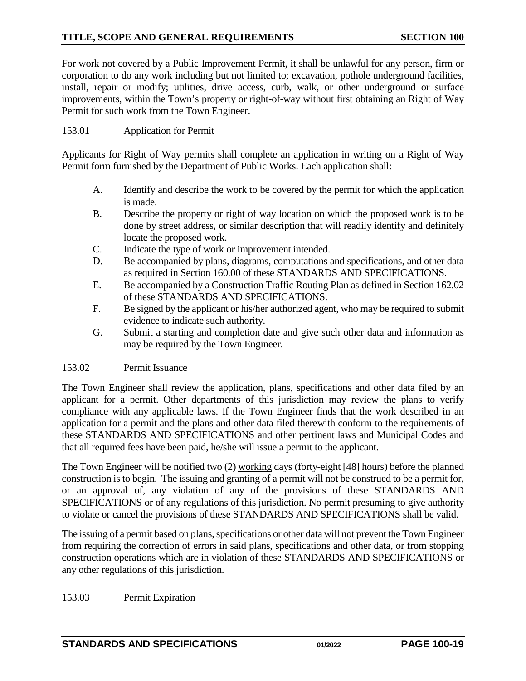## **TITLE, SCOPE AND GENERAL REQUIREMENTS SECTION 100**

For work not covered by a Public Improvement Permit, it shall be unlawful for any person, firm or corporation to do any work including but not limited to; excavation, pothole underground facilities, install, repair or modify; utilities, drive access, curb, walk, or other underground or surface improvements, within the Town's property or right-of-way without first obtaining an Right of Way Permit for such work from the Town Engineer.

## <span id="page-18-0"></span>153.01 Application for Permit

Applicants for Right of Way permits shall complete an application in writing on a Right of Way Permit form furnished by the Department of Public Works. Each application shall:

- A. Identify and describe the work to be covered by the permit for which the application is made.
- B. Describe the property or right of way location on which the proposed work is to be done by street address, or similar description that will readily identify and definitely locate the proposed work.
- C. Indicate the type of work or improvement intended.
- D. Be accompanied by plans, diagrams, computations and specifications, and other data as required in Section 160.00 of these STANDARDS AND SPECIFICATIONS.
- E. Be accompanied by a Construction Traffic Routing Plan as defined in Section 162.02 of these STANDARDS AND SPECIFICATIONS.
- F. Be signed by the applicant or his/her authorized agent, who may be required to submit evidence to indicate such authority.
- G. Submit a starting and completion date and give such other data and information as may be required by the Town Engineer.

#### <span id="page-18-1"></span>153.02 Permit Issuance

The Town Engineer shall review the application, plans, specifications and other data filed by an applicant for a permit. Other departments of this jurisdiction may review the plans to verify compliance with any applicable laws. If the Town Engineer finds that the work described in an application for a permit and the plans and other data filed therewith conform to the requirements of these STANDARDS AND SPECIFICATIONS and other pertinent laws and Municipal Codes and that all required fees have been paid, he/she will issue a permit to the applicant.

The Town Engineer will be notified two (2) working days (forty-eight [48] hours) before the planned construction is to begin. The issuing and granting of a permit will not be construed to be a permit for, or an approval of, any violation of any of the provisions of these STANDARDS AND SPECIFICATIONS or of any regulations of this jurisdiction. No permit presuming to give authority to violate or cancel the provisions of these STANDARDS AND SPECIFICATIONS shall be valid.

The issuing of a permit based on plans, specifications or other data will not prevent the Town Engineer from requiring the correction of errors in said plans, specifications and other data, or from stopping construction operations which are in violation of these STANDARDS AND SPECIFICATIONS or any other regulations of this jurisdiction.

#### <span id="page-18-2"></span>153.03 Permit Expiration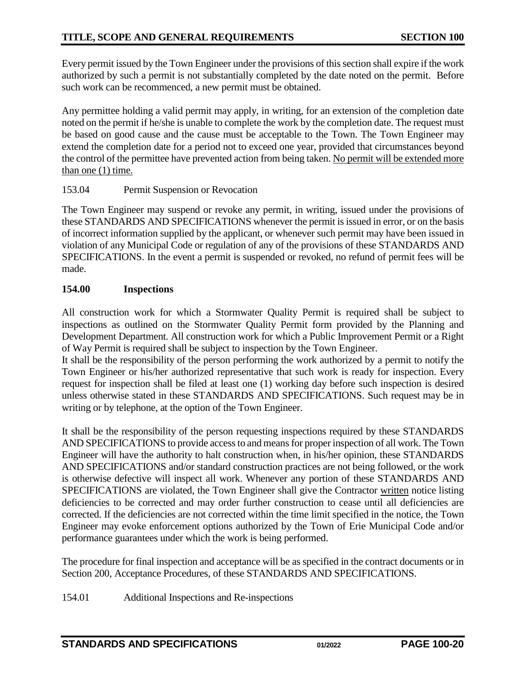Every permit issued by the Town Engineer under the provisions of this section shall expire if the work authorized by such a permit is not substantially completed by the date noted on the permit. Before such work can be recommenced, a new permit must be obtained.

Any permittee holding a valid permit may apply, in writing, for an extension of the completion date noted on the permit if he/she is unable to complete the work by the completion date. The request must be based on good cause and the cause must be acceptable to the Town. The Town Engineer may extend the completion date for a period not to exceed one year, provided that circumstances beyond the control of the permittee have prevented action from being taken. No permit will be extended more than one (1) time.

## <span id="page-19-0"></span>153.04 Permit Suspension or Revocation

The Town Engineer may suspend or revoke any permit, in writing, issued under the provisions of these STANDARDS AND SPECIFICATIONS whenever the permit is issued in error, or on the basis of incorrect information supplied by the applicant, or whenever such permit may have been issued in violation of any Municipal Code or regulation of any of the provisions of these STANDARDS AND SPECIFICATIONS. In the event a permit is suspended or revoked, no refund of permit fees will be made.

## <span id="page-19-1"></span>**154.00 Inspections**

All construction work for which a Stormwater Quality Permit is required shall be subject to inspections as outlined on the Stormwater Quality Permit form provided by the Planning and Development Department. All construction work for which a Public Improvement Permit or a Right of Way Permit is required shall be subject to inspection by the Town Engineer.

It shall be the responsibility of the person performing the work authorized by a permit to notify the Town Engineer or his/her authorized representative that such work is ready for inspection. Every request for inspection shall be filed at least one (1) working day before such inspection is desired unless otherwise stated in these STANDARDS AND SPECIFICATIONS. Such request may be in writing or by telephone, at the option of the Town Engineer.

It shall be the responsibility of the person requesting inspections required by these STANDARDS AND SPECIFICATIONS to provide access to and means for proper inspection of all work. The Town Engineer will have the authority to halt construction when, in his/her opinion, these STANDARDS AND SPECIFICATIONS and/or standard construction practices are not being followed, or the work is otherwise defective will inspect all work. Whenever any portion of these STANDARDS AND SPECIFICATIONS are violated, the Town Engineer shall give the Contractor written notice listing deficiencies to be corrected and may order further construction to cease until all deficiencies are corrected. If the deficiencies are not corrected within the time limit specified in the notice, the Town Engineer may evoke enforcement options authorized by the Town of Erie Municipal Code and/or performance guarantees under which the work is being performed.

The procedure for final inspection and acceptance will be as specified in the contract documents or in Section 200, Acceptance Procedures, of these STANDARDS AND SPECIFICATIONS.

<span id="page-19-2"></span>154.01 Additional Inspections and Re-inspections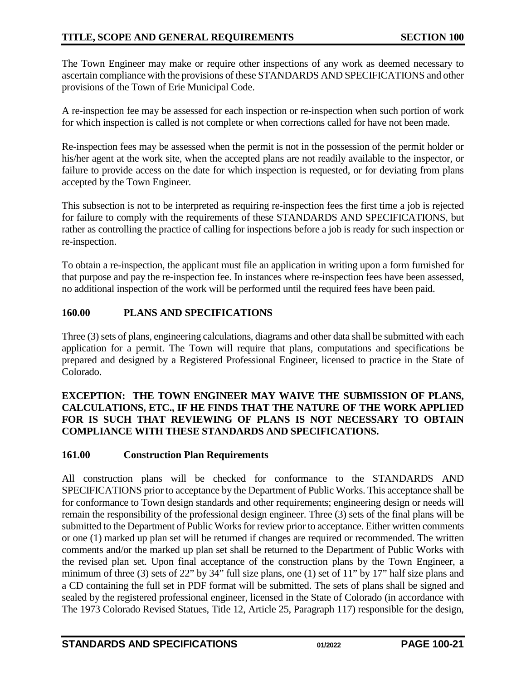The Town Engineer may make or require other inspections of any work as deemed necessary to ascertain compliance with the provisions of these STANDARDS AND SPECIFICATIONS and other provisions of the Town of Erie Municipal Code.

A re-inspection fee may be assessed for each inspection or re-inspection when such portion of work for which inspection is called is not complete or when corrections called for have not been made.

Re-inspection fees may be assessed when the permit is not in the possession of the permit holder or his/her agent at the work site, when the accepted plans are not readily available to the inspector, or failure to provide access on the date for which inspection is requested, or for deviating from plans accepted by the Town Engineer.

This subsection is not to be interpreted as requiring re-inspection fees the first time a job is rejected for failure to comply with the requirements of these STANDARDS AND SPECIFICATIONS, but rather as controlling the practice of calling for inspections before a job is ready for such inspection or re-inspection.

To obtain a re-inspection, the applicant must file an application in writing upon a form furnished for that purpose and pay the re-inspection fee. In instances where re-inspection fees have been assessed, no additional inspection of the work will be performed until the required fees have been paid.

## <span id="page-20-0"></span>**160.00 PLANS AND SPECIFICATIONS**

Three (3) sets of plans, engineering calculations, diagrams and other data shall be submitted with each application for a permit. The Town will require that plans, computations and specifications be prepared and designed by a Registered Professional Engineer, licensed to practice in the State of Colorado.

## **EXCEPTION: THE TOWN ENGINEER MAY WAIVE THE SUBMISSION OF PLANS, CALCULATIONS, ETC., IF HE FINDS THAT THE NATURE OF THE WORK APPLIED FOR IS SUCH THAT REVIEWING OF PLANS IS NOT NECESSARY TO OBTAIN COMPLIANCE WITH THESE STANDARDS AND SPECIFICATIONS.**

## <span id="page-20-1"></span>**161.00 Construction Plan Requirements**

All construction plans will be checked for conformance to the STANDARDS AND SPECIFICATIONS prior to acceptance by the Department of Public Works. This acceptance shall be for conformance to Town design standards and other requirements; engineering design or needs will remain the responsibility of the professional design engineer. Three (3) sets of the final plans will be submitted to the Department of Public Works for review prior to acceptance. Either written comments or one (1) marked up plan set will be returned if changes are required or recommended. The written comments and/or the marked up plan set shall be returned to the Department of Public Works with the revised plan set. Upon final acceptance of the construction plans by the Town Engineer, a minimum of three (3) sets of 22" by 34" full size plans, one (1) set of 11" by 17" half size plans and a CD containing the full set in PDF format will be submitted. The sets of plans shall be signed and sealed by the registered professional engineer, licensed in the State of Colorado (in accordance with The 1973 Colorado Revised Statues, Title 12, Article 25, Paragraph 117) responsible for the design,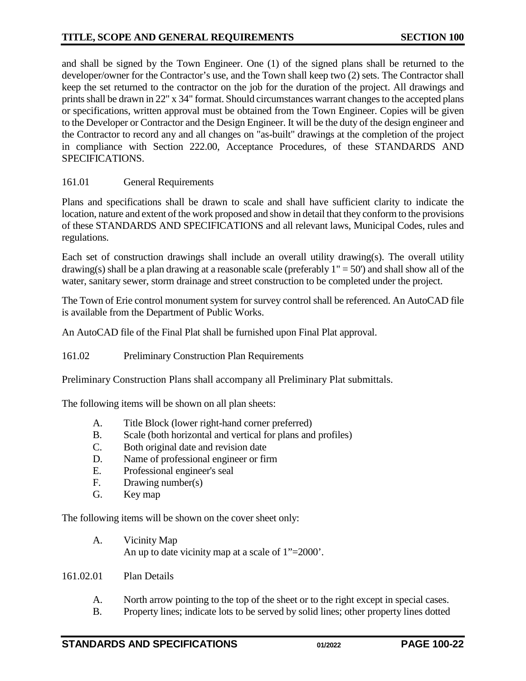and shall be signed by the Town Engineer. One (1) of the signed plans shall be returned to the developer/owner for the Contractor's use, and the Town shall keep two (2) sets. The Contractor shall keep the set returned to the contractor on the job for the duration of the project. All drawings and prints shall be drawn in 22" x 34" format. Should circumstances warrant changes to the accepted plans or specifications, written approval must be obtained from the Town Engineer. Copies will be given to the Developer or Contractor and the Design Engineer. It will be the duty of the design engineer and the Contractor to record any and all changes on "as-built" drawings at the completion of the project in compliance with Section 222.00, Acceptance Procedures, of these STANDARDS AND SPECIFICATIONS.

## <span id="page-21-0"></span>161.01 General Requirements

Plans and specifications shall be drawn to scale and shall have sufficient clarity to indicate the location, nature and extent of the work proposed and show in detail that they conform to the provisions of these STANDARDS AND SPECIFICATIONS and all relevant laws, Municipal Codes, rules and regulations.

Each set of construction drawings shall include an overall utility drawing(s). The overall utility drawing(s) shall be a plan drawing at a reasonable scale (preferably  $1" = 50'$ ) and shall show all of the water, sanitary sewer, storm drainage and street construction to be completed under the project.

The Town of Erie control monument system for survey control shall be referenced. An AutoCAD file is available from the Department of Public Works.

An AutoCAD file of the Final Plat shall be furnished upon Final Plat approval.

<span id="page-21-1"></span>161.02 Preliminary Construction Plan Requirements

Preliminary Construction Plans shall accompany all Preliminary Plat submittals.

The following items will be shown on all plan sheets:

- A. Title Block (lower right-hand corner preferred)
- B. Scale (both horizontal and vertical for plans and profiles)
- C. Both original date and revision date
- D. Name of professional engineer or firm
- E. Professional engineer's seal
- F. Drawing number(s)
- G. Key map

The following items will be shown on the cover sheet only:

A. Vicinity Map An up to date vicinity map at a scale of 1"=2000'.

#### 161.02.01 Plan Details

- A. North arrow pointing to the top of the sheet or to the right except in special cases.
- B. Property lines; indicate lots to be served by solid lines; other property lines dotted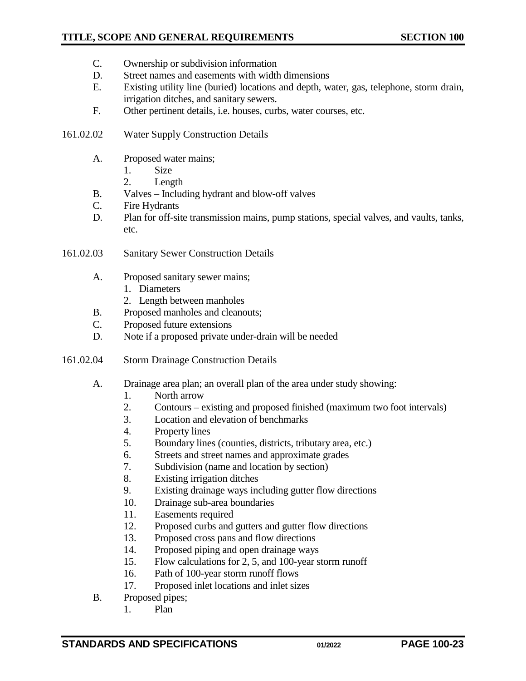## **TITLE, SCOPE AND GENERAL REQUIREMENTS SECTION 100**

- C. Ownership or subdivision information
- D. Street names and easements with width dimensions
- E. Existing utility line (buried) locations and depth, water, gas, telephone, storm drain, irrigation ditches, and sanitary sewers.
- F. Other pertinent details, i.e. houses, curbs, water courses, etc.

## 161.02.02 Water Supply Construction Details

- A. Proposed water mains;
	- 1. Size
	- 2. Length
- B. Valves Including hydrant and blow-off valves
- C. Fire Hydrants
- D. Plan for off-site transmission mains, pump stations, special valves, and vaults, tanks, etc.
- 161.02.03 Sanitary Sewer Construction Details
	- A. Proposed sanitary sewer mains;
		- 1. Diameters
		- 2. Length between manholes
	- B. Proposed manholes and cleanouts;
	- C. Proposed future extensions
	- D. Note if a proposed private under-drain will be needed
- 161.02.04 Storm Drainage Construction Details
	- A. Drainage area plan; an overall plan of the area under study showing:
		- 1. North arrow
		- 2. Contours existing and proposed finished (maximum two foot intervals)
		- 3. Location and elevation of benchmarks
		- 4. Property lines
		- 5. Boundary lines (counties, districts, tributary area, etc.)
		- 6. Streets and street names and approximate grades
		- 7. Subdivision (name and location by section)
		- 8. Existing irrigation ditches
		- 9. Existing drainage ways including gutter flow directions
		- 10. Drainage sub-area boundaries
		- 11. Easements required
		- 12. Proposed curbs and gutters and gutter flow directions
		- 13. Proposed cross pans and flow directions
		- 14. Proposed piping and open drainage ways
		- 15. Flow calculations for 2, 5, and 100-year storm runoff
		- 16. Path of 100-year storm runoff flows
		- 17. Proposed inlet locations and inlet sizes
	- B. Proposed pipes;
		- 1. Plan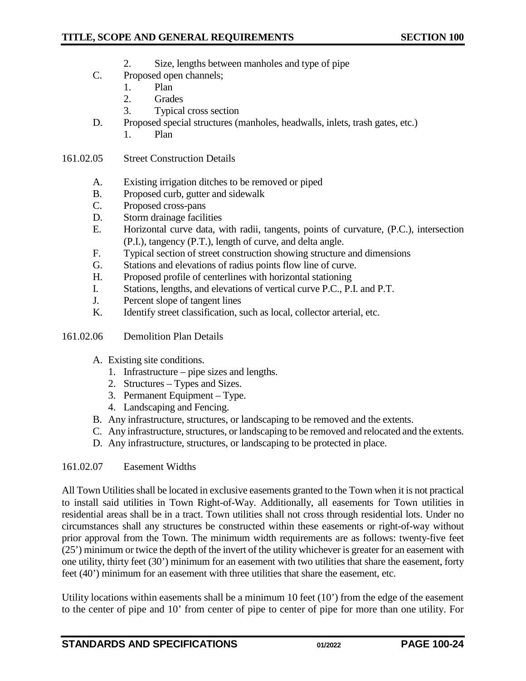- 2. Size, lengths between manholes and type of pipe
- C. Proposed open channels;
	- 1. Plan
	- 2. Grades
	- 3. Typical cross section
- D. Proposed special structures (manholes, headwalls, inlets, trash gates, etc.)
	- 1. Plan
- 161.02.05 Street Construction Details
	- A. Existing irrigation ditches to be removed or piped
	- B. Proposed curb, gutter and sidewalk
	- C. Proposed cross-pans
	- D. Storm drainage facilities
	- E. Horizontal curve data, with radii, tangents, points of curvature, (P.C.), intersection (P.I.), tangency (P.T.), length of curve, and delta angle.
	- F. Typical section of street construction showing structure and dimensions
	- G. Stations and elevations of radius points flow line of curve.
	- H. Proposed profile of centerlines with horizontal stationing
	- I. Stations, lengths, and elevations of vertical curve P.C., P.I. and P.T.
	- J. Percent slope of tangent lines
	- K. Identify street classification, such as local, collector arterial, etc.
- 161.02.06 Demolition Plan Details
	- A. Existing site conditions.
		- 1. Infrastructure pipe sizes and lengths.
		- 2. Structures Types and Sizes.
		- 3. Permanent Equipment Type.
		- 4. Landscaping and Fencing.
	- B. Any infrastructure, structures, or landscaping to be removed and the extents.
	- C. Any infrastructure, structures, or landscaping to be removed and relocated and the extents.
	- D. Any infrastructure, structures, or landscaping to be protected in place.

#### 161.02.07 Easement Widths

All Town Utilities shall be located in exclusive easements granted to the Town when it is not practical to install said utilities in Town Right-of-Way. Additionally, all easements for Town utilities in residential areas shall be in a tract. Town utilities shall not cross through residential lots. Under no circumstances shall any structures be constructed within these easements or right-of-way without prior approval from the Town. The minimum width requirements are as follows: twenty-five feet (25') minimum or twice the depth of the invert of the utility whichever is greater for an easement with one utility, thirty feet (30') minimum for an easement with two utilities that share the easement, forty feet (40') minimum for an easement with three utilities that share the easement, etc.

Utility locations within easements shall be a minimum 10 feet (10') from the edge of the easement to the center of pipe and 10' from center of pipe to center of pipe for more than one utility. For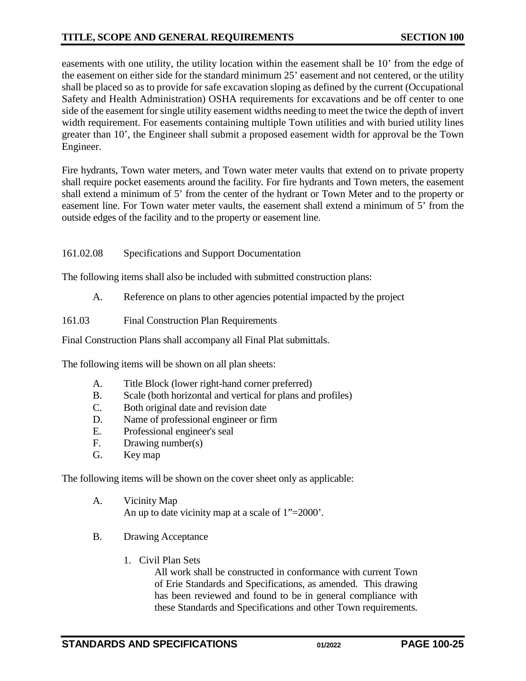## **TITLE, SCOPE AND GENERAL REQUIREMENTS SECTION 100**

easements with one utility, the utility location within the easement shall be 10' from the edge of the easement on either side for the standard minimum 25' easement and not centered, or the utility shall be placed so as to provide for safe excavation sloping as defined by the current (Occupational Safety and Health Administration) OSHA requirements for excavations and be off center to one side of the easement for single utility easement widths needing to meet the twice the depth of invert width requirement. For easements containing multiple Town utilities and with buried utility lines greater than 10', the Engineer shall submit a proposed easement width for approval be the Town Engineer.

Fire hydrants, Town water meters, and Town water meter vaults that extend on to private property shall require pocket easements around the facility. For fire hydrants and Town meters, the easement shall extend a minimum of 5' from the center of the hydrant or Town Meter and to the property or easement line. For Town water meter vaults, the easement shall extend a minimum of 5' from the outside edges of the facility and to the property or easement line.

## 161.02.08 Specifications and Support Documentation

The following items shall also be included with submitted construction plans:

A. Reference on plans to other agencies potential impacted by the project

<span id="page-24-0"></span>161.03 Final Construction Plan Requirements

Final Construction Plans shall accompany all Final Plat submittals.

The following items will be shown on all plan sheets:

- A. Title Block (lower right-hand corner preferred)
- B. Scale (both horizontal and vertical for plans and profiles)
- C. Both original date and revision date
- D. Name of professional engineer or firm<br>E. Professional engineer's seal
- Professional engineer's seal
- F. Drawing number(s)
- G. Key map

The following items will be shown on the cover sheet only as applicable:

- A. Vicinity Map An up to date vicinity map at a scale of 1"=2000'.
- B. Drawing Acceptance
	- 1. Civil Plan Sets

All work shall be constructed in conformance with current Town of Erie Standards and Specifications, as amended. This drawing has been reviewed and found to be in general compliance with these Standards and Specifications and other Town requirements.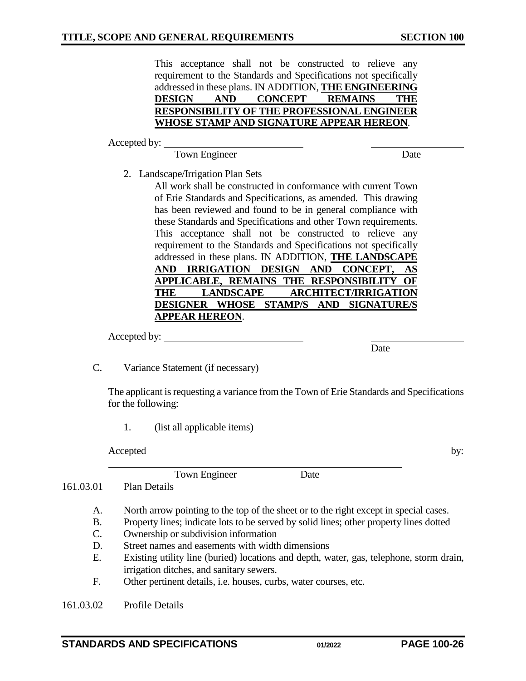This acceptance shall not be constructed to relieve any requirement to the Standards and Specifications not specifically addressed in these plans. IN ADDITION, **THE ENGINEERING DESIGN AND CONCEPT REMAINS THE RESPONSIBILITY OF THE PROFESSIONAL ENGINEER WHOSE STAMP AND SIGNATURE APPEAR HEREON**.

Accepted by:

Town Engineer Date

2. Landscape/Irrigation Plan Sets

All work shall be constructed in conformance with current Town of Erie Standards and Specifications, as amended. This drawing has been reviewed and found to be in general compliance with these Standards and Specifications and other Town requirements. This acceptance shall not be constructed to relieve any requirement to the Standards and Specifications not specifically addressed in these plans. IN ADDITION, **THE LANDSCAPE AND IRRIGATION DESIGN AND CONCEPT, AS APPLICABLE, REMAINS THE RESPONSIBILITY OF THE LANDSCAPE ARCHITECT/IRRIGATION DESIGNER WHOSE STAMP/S AND SIGNATURE/S APPEAR HEREON**.

Accepted by:

**Date** 

C. Variance Statement (if necessary)

The applicant is requesting a variance from the Town of Erie Standards and Specifications for the following:

1. (list all applicable items)

Accepted by:

Town Engineer Date

161.03.01 Plan Details

- A. North arrow pointing to the top of the sheet or to the right except in special cases.
- B. Property lines; indicate lots to be served by solid lines; other property lines dotted
- C. Ownership or subdivision information
- D. Street names and easements with width dimensions
- E. Existing utility line (buried) locations and depth, water, gas, telephone, storm drain, irrigation ditches, and sanitary sewers.
- F. Other pertinent details, i.e. houses, curbs, water courses, etc.

161.03.02 Profile Details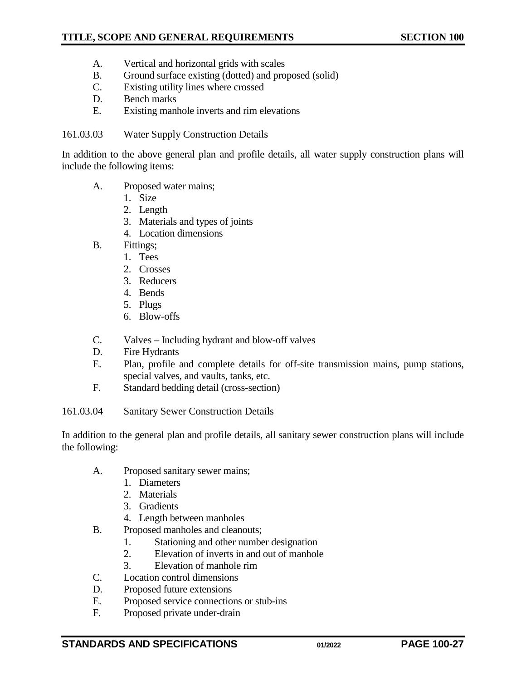- A. Vertical and horizontal grids with scales
- B. Ground surface existing (dotted) and proposed (solid)
- C. Existing utility lines where crossed
- D. Bench marks
- E. Existing manhole inverts and rim elevations

#### 161.03.03 Water Supply Construction Details

In addition to the above general plan and profile details, all water supply construction plans will include the following items:

- A. Proposed water mains;
	- 1. Size
	- 2. Length
	- 3. Materials and types of joints
	- 4. Location dimensions
- B. Fittings;
	- 1. Tees
	- 2. Crosses
	- 3. Reducers
	- 4. Bends
	- 5. Plugs
	- 6. Blow-offs
- C. Valves Including hydrant and blow-off valves
- D. Fire Hydrants
- E. Plan, profile and complete details for off-site transmission mains, pump stations, special valves, and vaults, tanks, etc.
- F. Standard bedding detail (cross-section)
- 161.03.04 Sanitary Sewer Construction Details

In addition to the general plan and profile details, all sanitary sewer construction plans will include the following:

- A. Proposed sanitary sewer mains;
	- 1. Diameters
	- 2. Materials
	- 3. Gradients
	- 4. Length between manholes
- B. Proposed manholes and cleanouts;
	- 1. Stationing and other number designation
	- 2. Elevation of inverts in and out of manhole
	- 3. Elevation of manhole rim
- C. Location control dimensions
- D. Proposed future extensions
- E. Proposed service connections or stub-ins
- F. Proposed private under-drain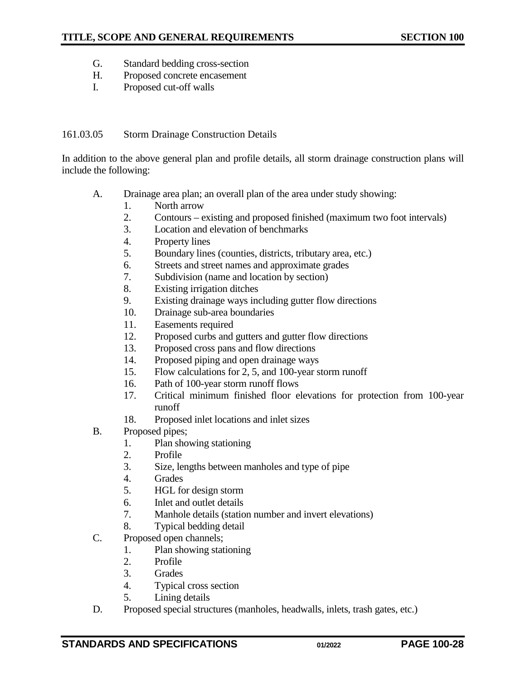- G. Standard bedding cross-section
- H. Proposed concrete encasement
- I. Proposed cut-off walls

#### 161.03.05 Storm Drainage Construction Details

In addition to the above general plan and profile details, all storm drainage construction plans will include the following:

- A. Drainage area plan; an overall plan of the area under study showing:
	- 1. North arrow
	- 2. Contours existing and proposed finished (maximum two foot intervals)
	- 3. Location and elevation of benchmarks
	- 4. Property lines
	- 5. Boundary lines (counties, districts, tributary area, etc.)
	- 6. Streets and street names and approximate grades
	- 7. Subdivision (name and location by section)
	- 8. Existing irrigation ditches
	- 9. Existing drainage ways including gutter flow directions
	- 10. Drainage sub-area boundaries
	- 11. Easements required
	- 12. Proposed curbs and gutters and gutter flow directions
	- 13. Proposed cross pans and flow directions
	- 14. Proposed piping and open drainage ways
	- 15. Flow calculations for 2, 5, and 100-year storm runoff
	- 16. Path of 100-year storm runoff flows
	- 17. Critical minimum finished floor elevations for protection from 100-year runoff
	- 18. Proposed inlet locations and inlet sizes
- B. Proposed pipes;
	- 1. Plan showing stationing
	- 2. Profile
	- 3. Size, lengths between manholes and type of pipe
	- 4. Grades
	- 5. HGL for design storm
	- 6. Inlet and outlet details
	- 7. Manhole details (station number and invert elevations)
	- 8. Typical bedding detail
- C. Proposed open channels;
	- 1. Plan showing stationing
		- 2. Profile
	- 3. Grades
	- 4. Typical cross section
	- 5. Lining details
- D. Proposed special structures (manholes, headwalls, inlets, trash gates, etc.)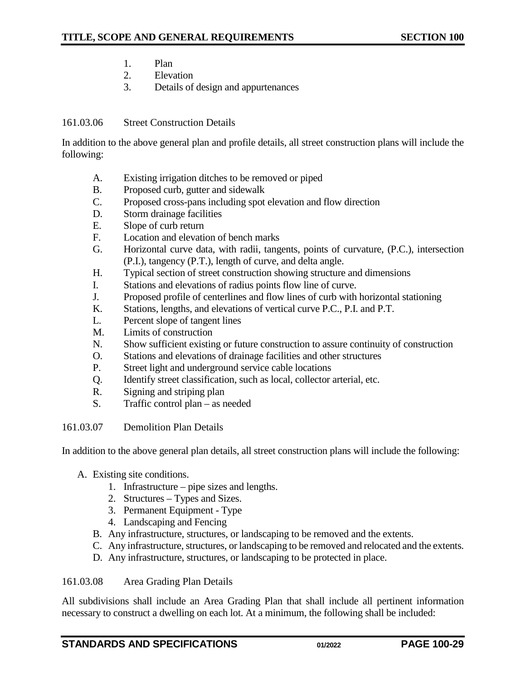- 1. Plan
- 2. Elevation
- 3. Details of design and appurtenances

## 161.03.06 Street Construction Details

In addition to the above general plan and profile details, all street construction plans will include the following:

- A. Existing irrigation ditches to be removed or piped
- B. Proposed curb, gutter and sidewalk
- C. Proposed cross-pans including spot elevation and flow direction
- D. Storm drainage facilities
- E. Slope of curb return
- F. Location and elevation of bench marks
- G. Horizontal curve data, with radii, tangents, points of curvature, (P.C.), intersection (P.I.), tangency (P.T.), length of curve, and delta angle.
- H. Typical section of street construction showing structure and dimensions
- I. Stations and elevations of radius points flow line of curve.
- J. Proposed profile of centerlines and flow lines of curb with horizontal stationing
- K. Stations, lengths, and elevations of vertical curve P.C., P.I. and P.T.
- L. Percent slope of tangent lines
- M. Limits of construction
- N. Show sufficient existing or future construction to assure continuity of construction
- O. Stations and elevations of drainage facilities and other structures
- P. Street light and underground service cable locations
- Q. Identify street classification, such as local, collector arterial, etc.
- R. Signing and striping plan
- S. Traffic control plan as needed

161.03.07 Demolition Plan Details

In addition to the above general plan details, all street construction plans will include the following:

- A. Existing site conditions.
	- 1. Infrastructure pipe sizes and lengths.
	- 2. Structures Types and Sizes.
	- 3. Permanent Equipment Type
	- 4. Landscaping and Fencing
	- B. Any infrastructure, structures, or landscaping to be removed and the extents.
	- C. Any infrastructure, structures, or landscaping to be removed and relocated and the extents.
	- D. Any infrastructure, structures, or landscaping to be protected in place.

#### 161.03.08 Area Grading Plan Details

All subdivisions shall include an Area Grading Plan that shall include all pertinent information necessary to construct a dwelling on each lot. At a minimum, the following shall be included: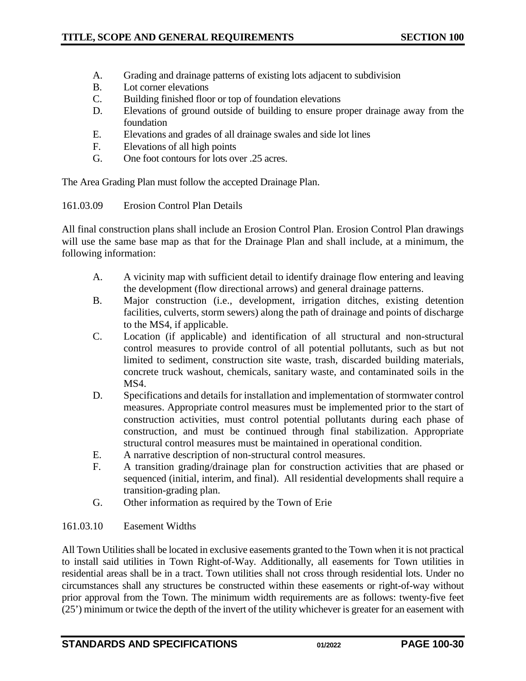- A. Grading and drainage patterns of existing lots adjacent to subdivision
- B. Lot corner elevations
- C. Building finished floor or top of foundation elevations
- D. Elevations of ground outside of building to ensure proper drainage away from the foundation
- E. Elevations and grades of all drainage swales and side lot lines
- F. Elevations of all high points
- G. One foot contours for lots over .25 acres.

The Area Grading Plan must follow the accepted Drainage Plan.

161.03.09 Erosion Control Plan Details

All final construction plans shall include an Erosion Control Plan. Erosion Control Plan drawings will use the same base map as that for the Drainage Plan and shall include, at a minimum, the following information:

- A. A vicinity map with sufficient detail to identify drainage flow entering and leaving the development (flow directional arrows) and general drainage patterns.
- B. Major construction (i.e., development, irrigation ditches, existing detention facilities, culverts, storm sewers) along the path of drainage and points of discharge to the MS4, if applicable.
- C. Location (if applicable) and identification of all structural and non-structural control measures to provide control of all potential pollutants, such as but not limited to sediment, construction site waste, trash, discarded building materials, concrete truck washout, chemicals, sanitary waste, and contaminated soils in the MS<sub>4</sub>.
- D. Specifications and details for installation and implementation of stormwater control measures. Appropriate control measures must be implemented prior to the start of construction activities, must control potential pollutants during each phase of construction, and must be continued through final stabilization. Appropriate structural control measures must be maintained in operational condition.
- E. A narrative description of non-structural control measures.
- F. A transition grading/drainage plan for construction activities that are phased or sequenced (initial, interim, and final). All residential developments shall require a transition-grading plan.
- G. Other information as required by the Town of Erie

#### 161.03.10 Easement Widths

All Town Utilities shall be located in exclusive easements granted to the Town when it is not practical to install said utilities in Town Right-of-Way. Additionally, all easements for Town utilities in residential areas shall be in a tract. Town utilities shall not cross through residential lots. Under no circumstances shall any structures be constructed within these easements or right-of-way without prior approval from the Town. The minimum width requirements are as follows: twenty-five feet (25') minimum or twice the depth of the invert of the utility whichever is greater for an easement with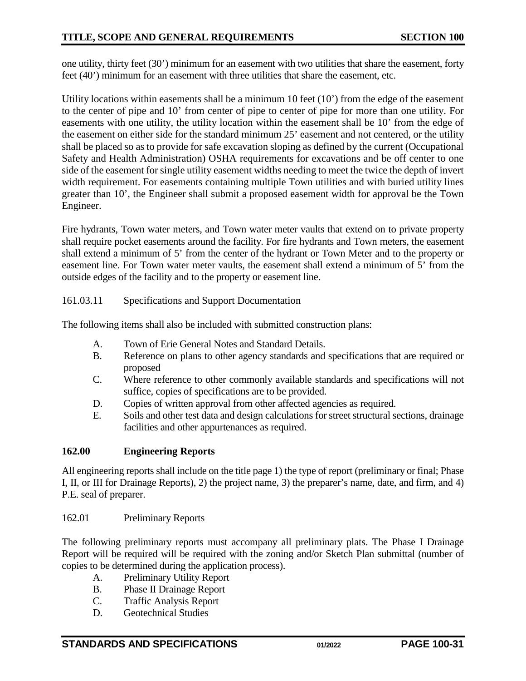one utility, thirty feet (30') minimum for an easement with two utilities that share the easement, forty feet (40') minimum for an easement with three utilities that share the easement, etc.

Utility locations within easements shall be a minimum 10 feet (10') from the edge of the easement to the center of pipe and 10' from center of pipe to center of pipe for more than one utility. For easements with one utility, the utility location within the easement shall be 10' from the edge of the easement on either side for the standard minimum 25' easement and not centered, or the utility shall be placed so as to provide for safe excavation sloping as defined by the current (Occupational Safety and Health Administration) OSHA requirements for excavations and be off center to one side of the easement for single utility easement widths needing to meet the twice the depth of invert width requirement. For easements containing multiple Town utilities and with buried utility lines greater than 10', the Engineer shall submit a proposed easement width for approval be the Town Engineer.

Fire hydrants, Town water meters, and Town water meter vaults that extend on to private property shall require pocket easements around the facility. For fire hydrants and Town meters, the easement shall extend a minimum of 5' from the center of the hydrant or Town Meter and to the property or easement line. For Town water meter vaults, the easement shall extend a minimum of 5' from the outside edges of the facility and to the property or easement line.

## 161.03.11 Specifications and Support Documentation

The following items shall also be included with submitted construction plans:

- A. Town of Erie General Notes and Standard Details.
- B. Reference on plans to other agency standards and specifications that are required or proposed
- C. Where reference to other commonly available standards and specifications will not suffice, copies of specifications are to be provided.
- D. Copies of written approval from other affected agencies as required.
- E. Soils and other test data and design calculations for street structural sections, drainage facilities and other appurtenances as required.

## <span id="page-30-0"></span>**162.00 Engineering Reports**

All engineering reports shall include on the title page 1) the type of report (preliminary or final; Phase I, II, or III for Drainage Reports), 2) the project name, 3) the preparer's name, date, and firm, and 4) P.E. seal of preparer.

#### <span id="page-30-1"></span>162.01 Preliminary Reports

The following preliminary reports must accompany all preliminary plats. The Phase I Drainage Report will be required will be required with the zoning and/or Sketch Plan submittal (number of copies to be determined during the application process).

- A. Preliminary Utility Report
- B. Phase II Drainage Report
- C. Traffic Analysis Report
- D. Geotechnical Studies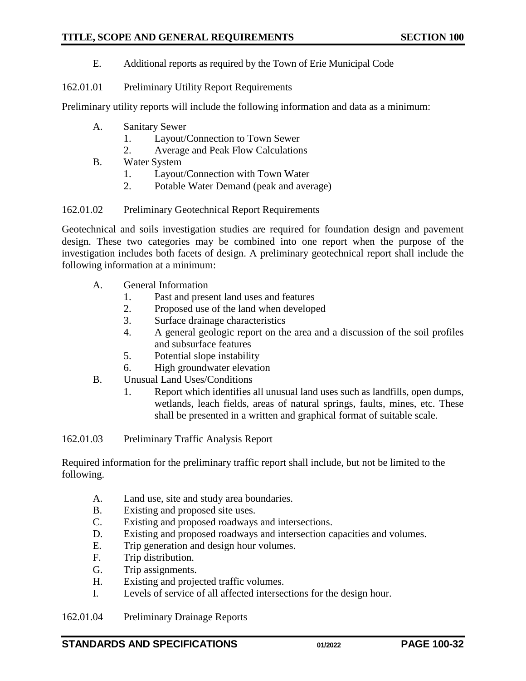- E. Additional reports as required by the Town of Erie Municipal Code
- 162.01.01 Preliminary Utility Report Requirements

Preliminary utility reports will include the following information and data as a minimum:

- A. Sanitary Sewer
	- 1. Layout/Connection to Town Sewer
	- 2. Average and Peak Flow Calculations
- B. Water System
	- 1. Layout/Connection with Town Water
	- 2. Potable Water Demand (peak and average)

#### 162.01.02 Preliminary Geotechnical Report Requirements

Geotechnical and soils investigation studies are required for foundation design and pavement design. These two categories may be combined into one report when the purpose of the investigation includes both facets of design. A preliminary geotechnical report shall include the following information at a minimum:

- A. General Information
	- 1. Past and present land uses and features
	- 2. Proposed use of the land when developed
	- 3. Surface drainage characteristics
	- 4. A general geologic report on the area and a discussion of the soil profiles and subsurface features
	- 5. Potential slope instability
	- 6. High groundwater elevation
- B. Unusual Land Uses/Conditions
	- 1. Report which identifies all unusual land uses such as landfills, open dumps, wetlands, leach fields, areas of natural springs, faults, mines, etc. These shall be presented in a written and graphical format of suitable scale.

162.01.03 Preliminary Traffic Analysis Report

Required information for the preliminary traffic report shall include, but not be limited to the following.

- A. Land use, site and study area boundaries.
- B. Existing and proposed site uses.
- C. Existing and proposed roadways and intersections.
- D. Existing and proposed roadways and intersection capacities and volumes.
- E. Trip generation and design hour volumes.
- F. Trip distribution.
- G. Trip assignments.
- H. Existing and projected traffic volumes.
- I. Levels of service of all affected intersections for the design hour.

162.01.04 Preliminary Drainage Reports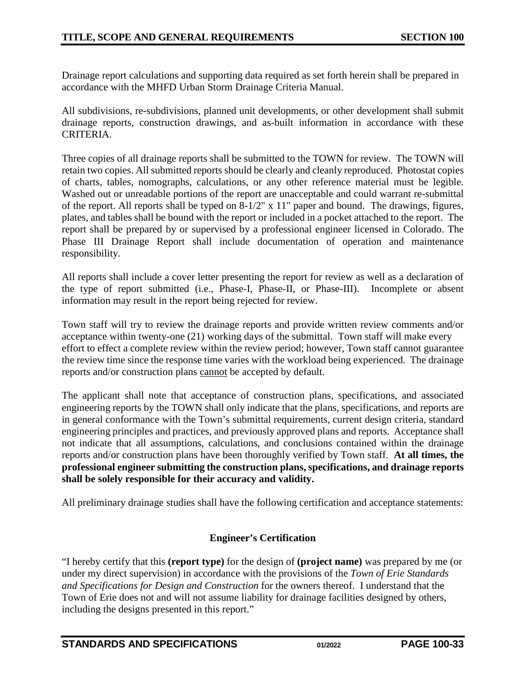Drainage report calculations and supporting data required as set forth herein shall be prepared in accordance with the MHFD Urban Storm Drainage Criteria Manual.

All subdivisions, re-subdivisions, planned unit developments, or other development shall submit drainage reports, construction drawings, and as-built information in accordance with these CRITERIA.

Three copies of all drainage reports shall be submitted to the TOWN for review. The TOWN will retain two copies. All submitted reports should be clearly and cleanly reproduced. Photostat copies of charts, tables, nomographs, calculations, or any other reference material must be legible. Washed out or unreadable portions of the report are unacceptable and could warrant re-submittal of the report. All reports shall be typed on 8-1/2" x 11" paper and bound. The drawings, figures, plates, and tables shall be bound with the report or included in a pocket attached to the report. The report shall be prepared by or supervised by a professional engineer licensed in Colorado. The Phase III Drainage Report shall include documentation of operation and maintenance responsibility.

All reports shall include a cover letter presenting the report for review as well as a declaration of the type of report submitted (i.e., Phase-I, Phase-II, or Phase-III). Incomplete or absent information may result in the report being rejected for review.

Town staff will try to review the drainage reports and provide written review comments and/or acceptance within twenty-one (21) working days of the submittal. Town staff will make every effort to effect a complete review within the review period; however, Town staff cannot guarantee the review time since the response time varies with the workload being experienced. The drainage reports and/or construction plans cannot be accepted by default.

The applicant shall note that acceptance of construction plans, specifications, and associated engineering reports by the TOWN shall only indicate that the plans, specifications, and reports are in general conformance with the Town's submittal requirements, current design criteria, standard engineering principles and practices, and previously approved plans and reports. Acceptance shall not indicate that all assumptions, calculations, and conclusions contained within the drainage reports and/or construction plans have been thoroughly verified by Town staff. **At all times, the professional engineer submitting the construction plans, specifications, and drainage reports shall be solely responsible for their accuracy and validity.** 

All preliminary drainage studies shall have the following certification and acceptance statements:

## **Engineer's Certification**

"I hereby certify that this **(report type)** for the design of **(project name)** was prepared by me (or under my direct supervision) in accordance with the provisions of the *Town of Erie Standards and Specifications for Design and Construction* for the owners thereof. I understand that the Town of Erie does not and will not assume liability for drainage facilities designed by others, including the designs presented in this report."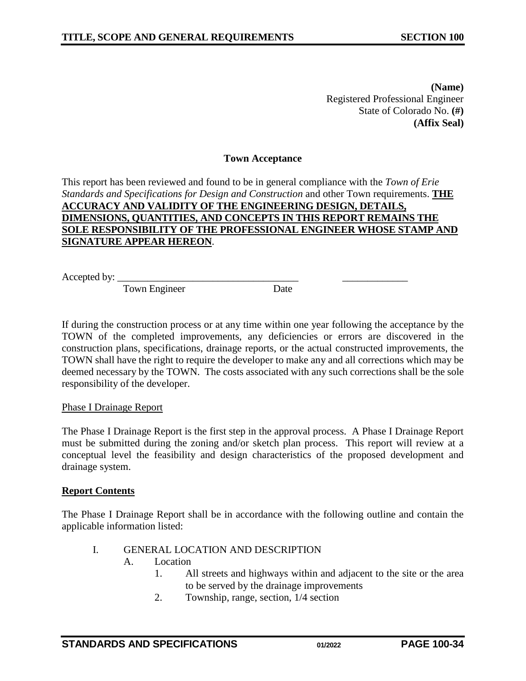**(Name)** Registered Professional Engineer State of Colorado No. **(#) (Affix Seal)**

#### **Town Acceptance**

This report has been reviewed and found to be in general compliance with the *Town of Erie Standards and Specifications for Design and Construction* and other Town requirements. **THE ACCURACY AND VALIDITY OF THE ENGINEERING DESIGN, DETAILS, DIMENSIONS, QUANTITIES, AND CONCEPTS IN THIS REPORT REMAINS THE SOLE RESPONSIBILITY OF THE PROFESSIONAL ENGINEER WHOSE STAMP AND SIGNATURE APPEAR HEREON**.

Accepted by:  $\_\_$ 

Town Engineer Date

If during the construction process or at any time within one year following the acceptance by the TOWN of the completed improvements, any deficiencies or errors are discovered in the construction plans, specifications, drainage reports, or the actual constructed improvements, the TOWN shall have the right to require the developer to make any and all corrections which may be deemed necessary by the TOWN. The costs associated with any such corrections shall be the sole responsibility of the developer.

#### Phase I Drainage Report

The Phase I Drainage Report is the first step in the approval process. A Phase I Drainage Report must be submitted during the zoning and/or sketch plan process. This report will review at a conceptual level the feasibility and design characteristics of the proposed development and drainage system.

#### **Report Contents**

The Phase I Drainage Report shall be in accordance with the following outline and contain the applicable information listed:

- I. GENERAL LOCATION AND DESCRIPTION
	- A. Location
		- 1. All streets and highways within and adjacent to the site or the area to be served by the drainage improvements
		- 2. Township, range, section, 1/4 section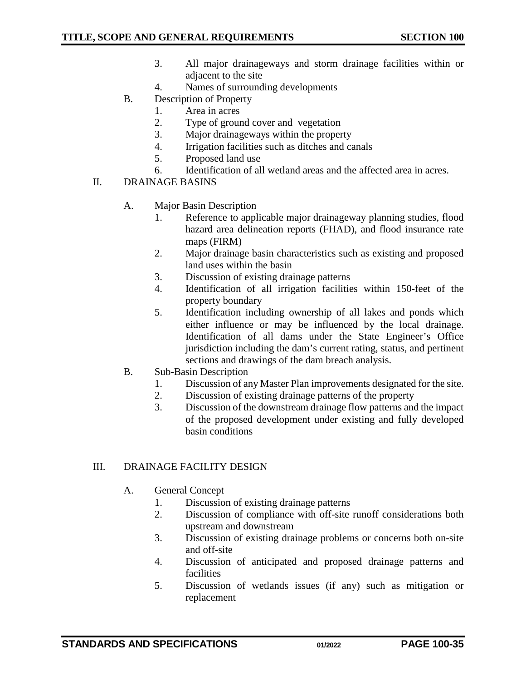- 3. All major drainageways and storm drainage facilities within or adjacent to the site
- 4. Names of surrounding developments
- B. Description of Property
	- 1. Area in acres
	- 2. Type of ground cover and vegetation
	- 3. Major drainageways within the property
	- 4. Irrigation facilities such as ditches and canals
	- 5. Proposed land use
	- 6. Identification of all wetland areas and the affected area in acres.
- II. DRAINAGE BASINS
	- A. Major Basin Description
		- 1. Reference to applicable major drainageway planning studies, flood hazard area delineation reports (FHAD), and flood insurance rate maps (FIRM)
		- 2. Major drainage basin characteristics such as existing and proposed land uses within the basin
		- 3. Discussion of existing drainage patterns
		- 4. Identification of all irrigation facilities within 150-feet of the property boundary
		- 5. Identification including ownership of all lakes and ponds which either influence or may be influenced by the local drainage. Identification of all dams under the State Engineer's Office jurisdiction including the dam's current rating, status, and pertinent sections and drawings of the dam breach analysis.
	- B. Sub-Basin Description
		- 1. Discussion of any Master Plan improvements designated for the site.
		- 2. Discussion of existing drainage patterns of the property
		- 3. Discussion of the downstream drainage flow patterns and the impact of the proposed development under existing and fully developed basin conditions

#### III. DRAINAGE FACILITY DESIGN

- A. General Concept
	- 1. Discussion of existing drainage patterns
	- 2. Discussion of compliance with off-site runoff considerations both upstream and downstream
	- 3. Discussion of existing drainage problems or concerns both on-site and off-site
	- 4. Discussion of anticipated and proposed drainage patterns and facilities
	- 5. Discussion of wetlands issues (if any) such as mitigation or replacement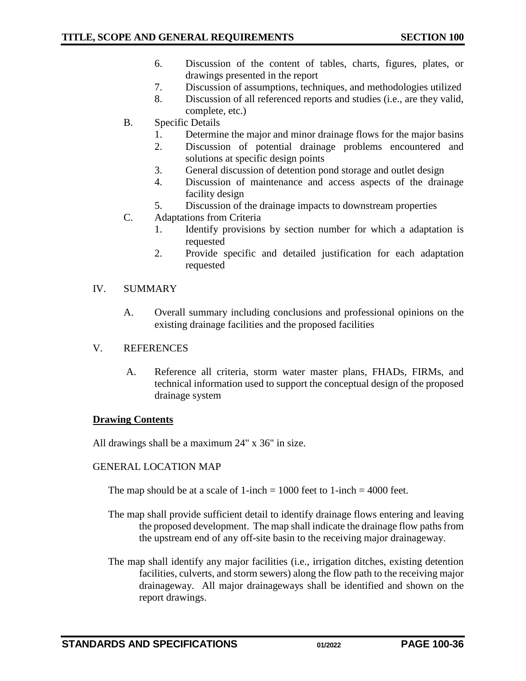- 6. Discussion of the content of tables, charts, figures, plates, or drawings presented in the report
- 7. Discussion of assumptions, techniques, and methodologies utilized
- 8. Discussion of all referenced reports and studies (i.e., are they valid, complete, etc.)
- B. Specific Details
	- 1. Determine the major and minor drainage flows for the major basins
	- 2. Discussion of potential drainage problems encountered and solutions at specific design points
	- 3. General discussion of detention pond storage and outlet design
	- 4. Discussion of maintenance and access aspects of the drainage facility design
	- 5. Discussion of the drainage impacts to downstream properties
- C. Adaptations from Criteria
	- 1. Identify provisions by section number for which a adaptation is requested
	- 2. Provide specific and detailed justification for each adaptation requested

#### IV. SUMMARY

- A. Overall summary including conclusions and professional opinions on the existing drainage facilities and the proposed facilities
- V. REFERENCES
	- A. Reference all criteria, storm water master plans, FHADs, FIRMs, and technical information used to support the conceptual design of the proposed drainage system

#### **Drawing Contents**

All drawings shall be a maximum 24" x 36" in size.

## GENERAL LOCATION MAP

The map should be at a scale of 1-inch  $= 1000$  feet to 1-inch  $= 4000$  feet.

- The map shall provide sufficient detail to identify drainage flows entering and leaving the proposed development. The map shall indicate the drainage flow paths from the upstream end of any off-site basin to the receiving major drainageway.
- The map shall identify any major facilities (i.e., irrigation ditches, existing detention facilities, culverts, and storm sewers) along the flow path to the receiving major drainageway. All major drainageways shall be identified and shown on the report drawings.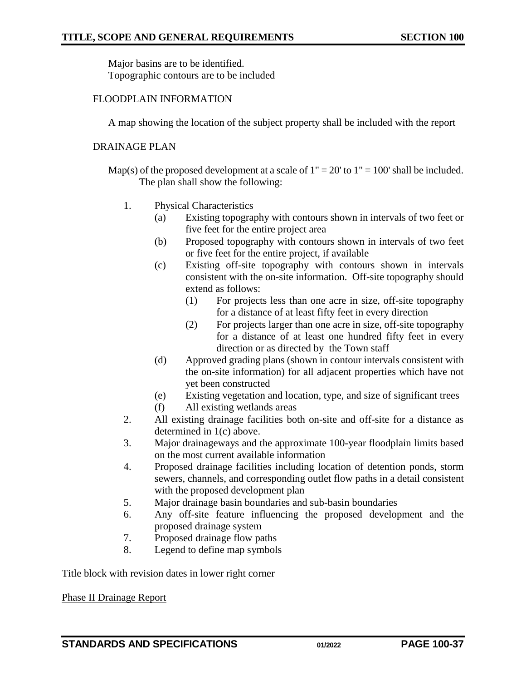Major basins are to be identified. Topographic contours are to be included

## FLOODPLAIN INFORMATION

A map showing the location of the subject property shall be included with the report

## DRAINAGE PLAN

Map(s) of the proposed development at a scale of  $1" = 20'$  to  $1" = 100'$  shall be included. The plan shall show the following:

- 1. Physical Characteristics
	- (a) Existing topography with contours shown in intervals of two feet or five feet for the entire project area
	- (b) Proposed topography with contours shown in intervals of two feet or five feet for the entire project, if available
	- (c) Existing off-site topography with contours shown in intervals consistent with the on-site information. Off-site topography should extend as follows:
		- (1) For projects less than one acre in size, off-site topography for a distance of at least fifty feet in every direction
		- (2) For projects larger than one acre in size, off-site topography for a distance of at least one hundred fifty feet in every direction or as directed by the Town staff
	- (d) Approved grading plans (shown in contour intervals consistent with the on-site information) for all adjacent properties which have not yet been constructed
	- (e) Existing vegetation and location, type, and size of significant trees
	- (f) All existing wetlands areas
- 2. All existing drainage facilities both on-site and off-site for a distance as determined in 1(c) above.
- 3. Major drainageways and the approximate 100-year floodplain limits based on the most current available information
- 4. Proposed drainage facilities including location of detention ponds, storm sewers, channels, and corresponding outlet flow paths in a detail consistent with the proposed development plan
- 5. Major drainage basin boundaries and sub-basin boundaries
- 6. Any off-site feature influencing the proposed development and the proposed drainage system
- 7. Proposed drainage flow paths
- 8. Legend to define map symbols

Title block with revision dates in lower right corner

Phase II Drainage Report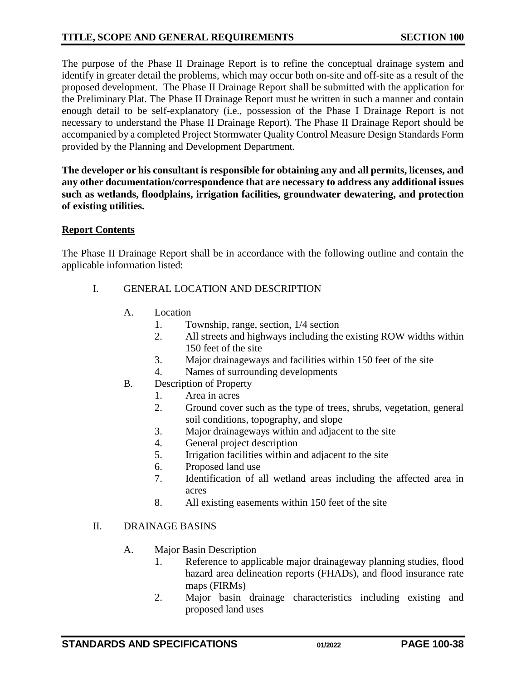## **TITLE, SCOPE AND GENERAL REQUIREMENTS SECTION 100**

The purpose of the Phase II Drainage Report is to refine the conceptual drainage system and identify in greater detail the problems, which may occur both on-site and off-site as a result of the proposed development. The Phase II Drainage Report shall be submitted with the application for the Preliminary Plat. The Phase II Drainage Report must be written in such a manner and contain enough detail to be self-explanatory (i.e., possession of the Phase I Drainage Report is not necessary to understand the Phase II Drainage Report). The Phase II Drainage Report should be accompanied by a completed Project Stormwater Quality Control Measure Design Standards Form provided by the Planning and Development Department.

**The developer or his consultant is responsible for obtaining any and all permits, licenses, and any other documentation/correspondence that are necessary to address any additional issues such as wetlands, floodplains, irrigation facilities, groundwater dewatering, and protection of existing utilities.**

#### **Report Contents**

The Phase II Drainage Report shall be in accordance with the following outline and contain the applicable information listed:

## I. GENERAL LOCATION AND DESCRIPTION

- A. Location
	- 1. Township, range, section, 1/4 section
	- 2. All streets and highways including the existing ROW widths within 150 feet of the site
	- 3. Major drainageways and facilities within 150 feet of the site
	- 4. Names of surrounding developments
- B. Description of Property
	- 1. Area in acres
	- 2. Ground cover such as the type of trees, shrubs, vegetation, general soil conditions, topography, and slope
	- 3. Major drainageways within and adjacent to the site
	- 4. General project description
	- 5. Irrigation facilities within and adjacent to the site
	- 6. Proposed land use
	- 7. Identification of all wetland areas including the affected area in acres
	- 8. All existing easements within 150 feet of the site

#### II. DRAINAGE BASINS

- A. Major Basin Description
	- 1. Reference to applicable major drainageway planning studies, flood hazard area delineation reports (FHADs), and flood insurance rate maps (FIRMs)
	- 2. Major basin drainage characteristics including existing and proposed land uses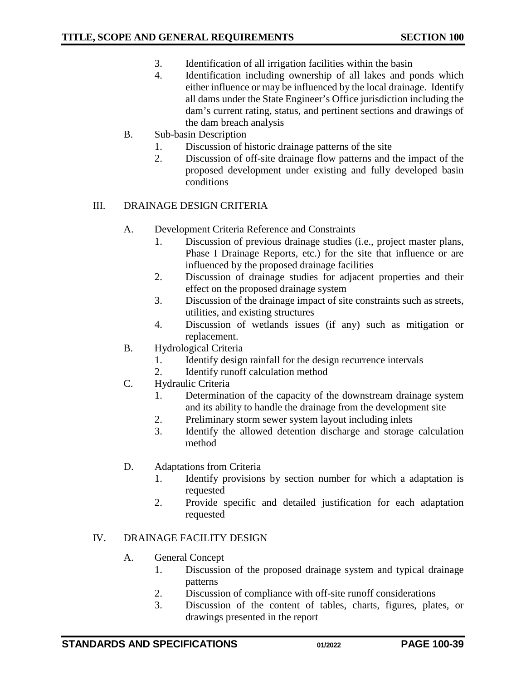- 3. Identification of all irrigation facilities within the basin
- 4. Identification including ownership of all lakes and ponds which either influence or may be influenced by the local drainage. Identify all dams under the State Engineer's Office jurisdiction including the dam's current rating, status, and pertinent sections and drawings of the dam breach analysis
- B. Sub-basin Description
	- 1. Discussion of historic drainage patterns of the site
	- 2. Discussion of off-site drainage flow patterns and the impact of the proposed development under existing and fully developed basin conditions

## III. DRAINAGE DESIGN CRITERIA

- A. Development Criteria Reference and Constraints
	- 1. Discussion of previous drainage studies (i.e., project master plans, Phase I Drainage Reports, etc.) for the site that influence or are influenced by the proposed drainage facilities
	- 2. Discussion of drainage studies for adjacent properties and their effect on the proposed drainage system
	- 3. Discussion of the drainage impact of site constraints such as streets, utilities, and existing structures
	- 4. Discussion of wetlands issues (if any) such as mitigation or replacement.
- B. Hydrological Criteria
	- 1. Identify design rainfall for the design recurrence intervals
	- 2. Identify runoff calculation method
- C. Hydraulic Criteria
	- 1. Determination of the capacity of the downstream drainage system and its ability to handle the drainage from the development site
	- 2. Preliminary storm sewer system layout including inlets
	- 3. Identify the allowed detention discharge and storage calculation method
- D. Adaptations from Criteria
	- 1. Identify provisions by section number for which a adaptation is requested
	- 2. Provide specific and detailed justification for each adaptation requested

## IV. DRAINAGE FACILITY DESIGN

- A. General Concept
	- 1. Discussion of the proposed drainage system and typical drainage patterns
	- 2. Discussion of compliance with off-site runoff considerations
	- 3. Discussion of the content of tables, charts, figures, plates, or drawings presented in the report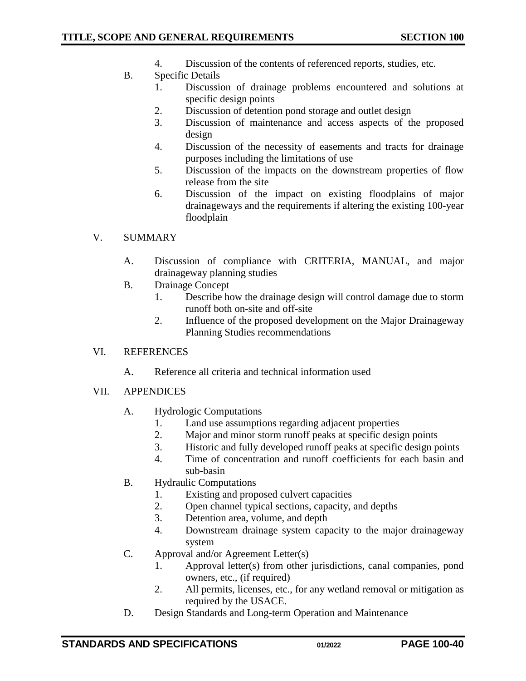- 4. Discussion of the contents of referenced reports, studies, etc.
- B. Specific Details
	- 1. Discussion of drainage problems encountered and solutions at specific design points
	- 2. Discussion of detention pond storage and outlet design
	- 3. Discussion of maintenance and access aspects of the proposed design
	- 4. Discussion of the necessity of easements and tracts for drainage purposes including the limitations of use
	- 5. Discussion of the impacts on the downstream properties of flow release from the site
	- 6. Discussion of the impact on existing floodplains of major drainageways and the requirements if altering the existing 100-year floodplain

## V. SUMMARY

- A. Discussion of compliance with CRITERIA, MANUAL, and major drainageway planning studies
- B. Drainage Concept
	- 1. Describe how the drainage design will control damage due to storm runoff both on-site and off-site
	- 2. Influence of the proposed development on the Major Drainageway Planning Studies recommendations

## VI. REFERENCES

- A. Reference all criteria and technical information used
- VII. APPENDICES
	- A. Hydrologic Computations
		- 1. Land use assumptions regarding adjacent properties
		- 2. Major and minor storm runoff peaks at specific design points
		- 3. Historic and fully developed runoff peaks at specific design points
		- 4. Time of concentration and runoff coefficients for each basin and sub-basin
	- B. Hydraulic Computations
		- 1. Existing and proposed culvert capacities
		- 2. Open channel typical sections, capacity, and depths
		- 3. Detention area, volume, and depth
		- 4. Downstream drainage system capacity to the major drainageway system
	- C. Approval and/or Agreement Letter(s)
		- 1. Approval letter(s) from other jurisdictions, canal companies, pond owners, etc., (if required)
		- 2. All permits, licenses, etc., for any wetland removal or mitigation as required by the USACE.
	- D. Design Standards and Long-term Operation and Maintenance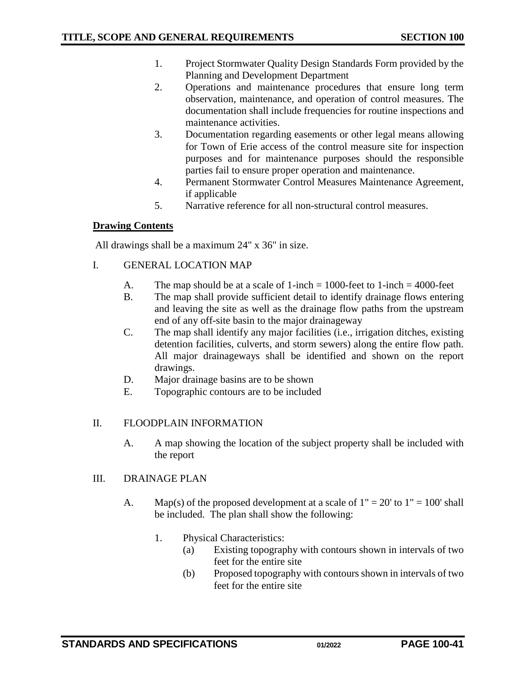- 1. Project Stormwater Quality Design Standards Form provided by the Planning and Development Department
- 2. Operations and maintenance procedures that ensure long term observation, maintenance, and operation of control measures. The documentation shall include frequencies for routine inspections and maintenance activities.
- 3. Documentation regarding easements or other legal means allowing for Town of Erie access of the control measure site for inspection purposes and for maintenance purposes should the responsible parties fail to ensure proper operation and maintenance.
- 4. Permanent Stormwater Control Measures Maintenance Agreement, if applicable
- 5. Narrative reference for all non-structural control measures.

## **Drawing Contents**

All drawings shall be a maximum 24" x 36" in size.

## I. GENERAL LOCATION MAP

- A. The map should be at a scale of  $1$ -inch = 1000-feet to  $1$ -inch = 4000-feet
- B. The map shall provide sufficient detail to identify drainage flows entering and leaving the site as well as the drainage flow paths from the upstream end of any off-site basin to the major drainageway
- C. The map shall identify any major facilities (i.e., irrigation ditches, existing detention facilities, culverts, and storm sewers) along the entire flow path. All major drainageways shall be identified and shown on the report drawings.
- D. Major drainage basins are to be shown
- E. Topographic contours are to be included

## II. FLOODPLAIN INFORMATION

A. A map showing the location of the subject property shall be included with the report

#### III. DRAINAGE PLAN

- A. Map(s) of the proposed development at a scale of  $1" = 20'$  to  $1" = 100'$  shall be included. The plan shall show the following:
	- 1. Physical Characteristics:
		- (a) Existing topography with contours shown in intervals of two feet for the entire site
		- (b) Proposed topography with contours shown in intervals of two feet for the entire site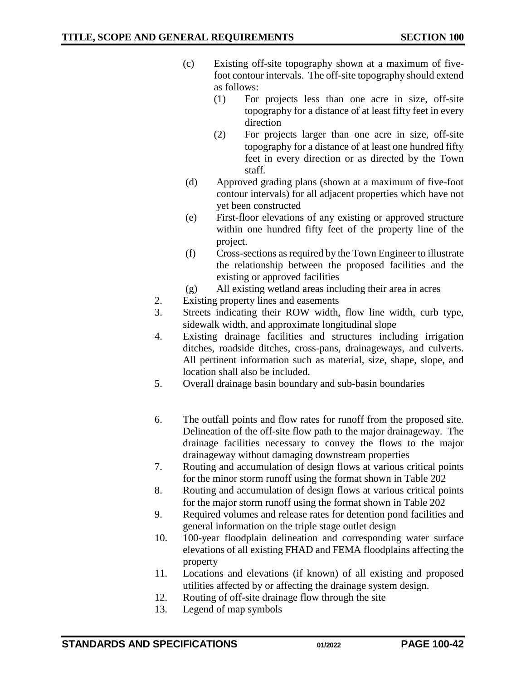- (c) Existing off-site topography shown at a maximum of fivefoot contour intervals. The off-site topography should extend as follows:
	- (1) For projects less than one acre in size, off-site topography for a distance of at least fifty feet in every direction
	- (2) For projects larger than one acre in size, off-site topography for a distance of at least one hundred fifty feet in every direction or as directed by the Town staff.
- (d) Approved grading plans (shown at a maximum of five-foot contour intervals) for all adjacent properties which have not yet been constructed
- (e) First-floor elevations of any existing or approved structure within one hundred fifty feet of the property line of the project.
- (f) Cross-sections as required by the Town Engineer to illustrate the relationship between the proposed facilities and the existing or approved facilities
- (g) All existing wetland areas including their area in acres
- 2. Existing property lines and easements
- 3. Streets indicating their ROW width, flow line width, curb type, sidewalk width, and approximate longitudinal slope
- 4. Existing drainage facilities and structures including irrigation ditches, roadside ditches, cross-pans, drainageways, and culverts. All pertinent information such as material, size, shape, slope, and location shall also be included.
- 5. Overall drainage basin boundary and sub-basin boundaries
- 6. The outfall points and flow rates for runoff from the proposed site. Delineation of the off-site flow path to the major drainageway. The drainage facilities necessary to convey the flows to the major drainageway without damaging downstream properties
- 7. Routing and accumulation of design flows at various critical points for the minor storm runoff using the format shown in Table 202
- 8. Routing and accumulation of design flows at various critical points for the major storm runoff using the format shown in Table 202
- 9. Required volumes and release rates for detention pond facilities and general information on the triple stage outlet design
- 10. 100-year floodplain delineation and corresponding water surface elevations of all existing FHAD and FEMA floodplains affecting the property
- 11. Locations and elevations (if known) of all existing and proposed utilities affected by or affecting the drainage system design.
- 12. Routing of off-site drainage flow through the site
- 13. Legend of map symbols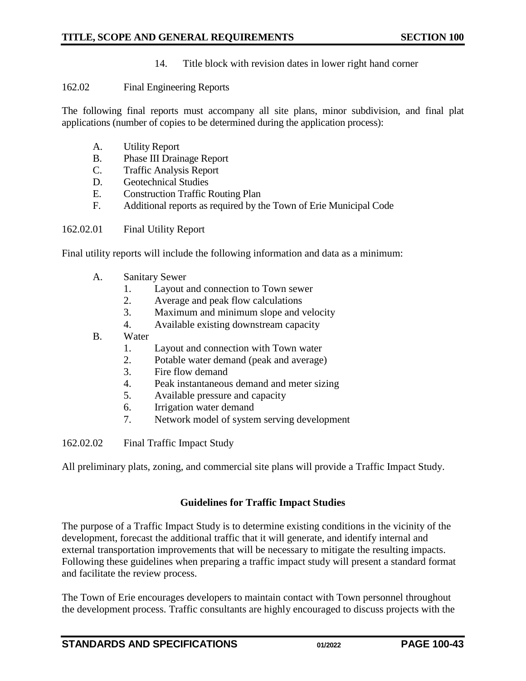14. Title block with revision dates in lower right hand corner

#### <span id="page-42-0"></span>162.02 Final Engineering Reports

The following final reports must accompany all site plans, minor subdivision, and final plat applications (number of copies to be determined during the application process):

- A. Utility Report
- B. Phase III Drainage Report
- C. Traffic Analysis Report
- D. Geotechnical Studies
- E. Construction Traffic Routing Plan
- F. Additional reports as required by the Town of Erie Municipal Code

## 162.02.01 Final Utility Report

Final utility reports will include the following information and data as a minimum:

- A. Sanitary Sewer
	- 1. Layout and connection to Town sewer
	- 2. Average and peak flow calculations
	- 3. Maximum and minimum slope and velocity
	- 4. Available existing downstream capacity
- B. Water
	- 1. Layout and connection with Town water
	- 2. Potable water demand (peak and average)
	- 3. Fire flow demand
	- 4. Peak instantaneous demand and meter sizing
	- 5. Available pressure and capacity
	- 6. Irrigation water demand
	- 7. Network model of system serving development

162.02.02 Final Traffic Impact Study

All preliminary plats, zoning, and commercial site plans will provide a Traffic Impact Study.

## **Guidelines for Traffic Impact Studies**

The purpose of a Traffic Impact Study is to determine existing conditions in the vicinity of the development, forecast the additional traffic that it will generate, and identify internal and external transportation improvements that will be necessary to mitigate the resulting impacts. Following these guidelines when preparing a traffic impact study will present a standard format and facilitate the review process.

The Town of Erie encourages developers to maintain contact with Town personnel throughout the development process. Traffic consultants are highly encouraged to discuss projects with the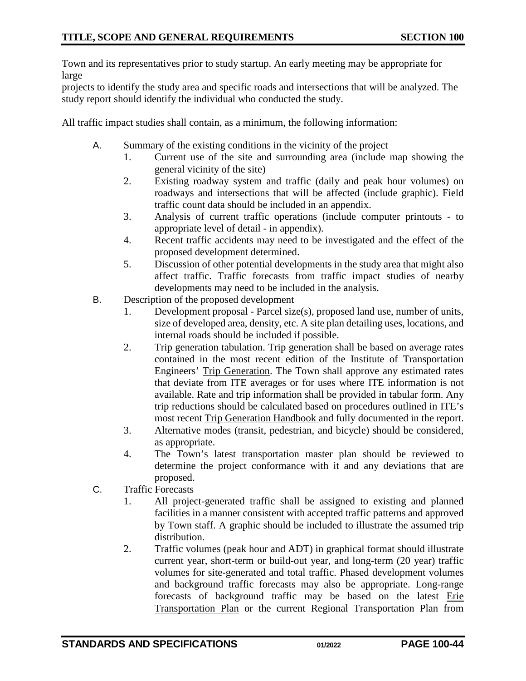Town and its representatives prior to study startup. An early meeting may be appropriate for large

projects to identify the study area and specific roads and intersections that will be analyzed. The study report should identify the individual who conducted the study.

All traffic impact studies shall contain, as a minimum, the following information:

- A. Summary of the existing conditions in the vicinity of the project
	- 1. Current use of the site and surrounding area (include map showing the general vicinity of the site)
	- 2. Existing roadway system and traffic (daily and peak hour volumes) on roadways and intersections that will be affected (include graphic). Field traffic count data should be included in an appendix.
	- 3. Analysis of current traffic operations (include computer printouts to appropriate level of detail - in appendix).
	- 4. Recent traffic accidents may need to be investigated and the effect of the proposed development determined.
	- 5. Discussion of other potential developments in the study area that might also affect traffic. Traffic forecasts from traffic impact studies of nearby developments may need to be included in the analysis.
- B. Description of the proposed development
	- 1. Development proposal Parcel size(s), proposed land use, number of units, size of developed area, density, etc. A site plan detailing uses, locations, and internal roads should be included if possible.
	- 2. Trip generation tabulation. Trip generation shall be based on average rates contained in the most recent edition of the Institute of Transportation Engineers' Trip Generation. The Town shall approve any estimated rates that deviate from ITE averages or for uses where ITE information is not available. Rate and trip information shall be provided in tabular form. Any trip reductions should be calculated based on procedures outlined in ITE's most recent Trip Generation Handbook and fully documented in the report.
	- 3. Alternative modes (transit, pedestrian, and bicycle) should be considered, as appropriate.
	- 4. The Town's latest transportation master plan should be reviewed to determine the project conformance with it and any deviations that are proposed.
- C. Traffic Forecasts
	- 1. All project-generated traffic shall be assigned to existing and planned facilities in a manner consistent with accepted traffic patterns and approved by Town staff. A graphic should be included to illustrate the assumed trip distribution.
	- 2. Traffic volumes (peak hour and ADT) in graphical format should illustrate current year, short-term or build-out year, and long-term (20 year) traffic volumes for site-generated and total traffic. Phased development volumes and background traffic forecasts may also be appropriate. Long-range forecasts of background traffic may be based on the latest Erie Transportation Plan or the current Regional Transportation Plan from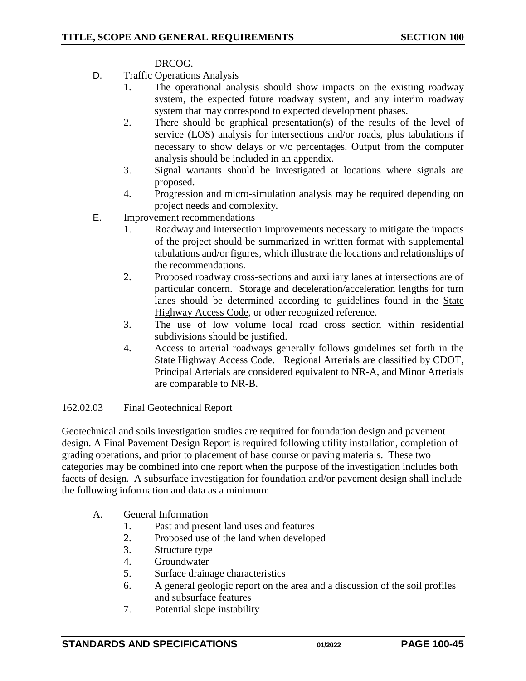#### DRCOG.

- D. Traffic Operations Analysis
	- 1. The operational analysis should show impacts on the existing roadway system, the expected future roadway system, and any interim roadway system that may correspond to expected development phases.
	- 2. There should be graphical presentation(s) of the results of the level of service (LOS) analysis for intersections and/or roads, plus tabulations if necessary to show delays or v/c percentages. Output from the computer analysis should be included in an appendix.
	- 3. Signal warrants should be investigated at locations where signals are proposed.
	- 4. Progression and micro-simulation analysis may be required depending on project needs and complexity.
- E. Improvement recommendations
	- 1. Roadway and intersection improvements necessary to mitigate the impacts of the project should be summarized in written format with supplemental tabulations and/or figures, which illustrate the locations and relationships of the recommendations.
	- 2. Proposed roadway cross-sections and auxiliary lanes at intersections are of particular concern. Storage and deceleration/acceleration lengths for turn lanes should be determined according to guidelines found in the State Highway Access Code, or other recognized reference.
	- 3. The use of low volume local road cross section within residential subdivisions should be justified.
	- 4. Access to arterial roadways generally follows guidelines set forth in the State Highway Access Code. Regional Arterials are classified by CDOT, Principal Arterials are considered equivalent to NR-A, and Minor Arterials are comparable to NR-B.

#### 162.02.03 Final Geotechnical Report

Geotechnical and soils investigation studies are required for foundation design and pavement design. A Final Pavement Design Report is required following utility installation, completion of grading operations, and prior to placement of base course or paving materials. These two categories may be combined into one report when the purpose of the investigation includes both facets of design. A subsurface investigation for foundation and/or pavement design shall include the following information and data as a minimum:

#### A. General Information

- 1. Past and present land uses and features
- 2. Proposed use of the land when developed
- 3. Structure type
- 4. Groundwater
- 5. Surface drainage characteristics
- 6. A general geologic report on the area and a discussion of the soil profiles and subsurface features
- 7. Potential slope instability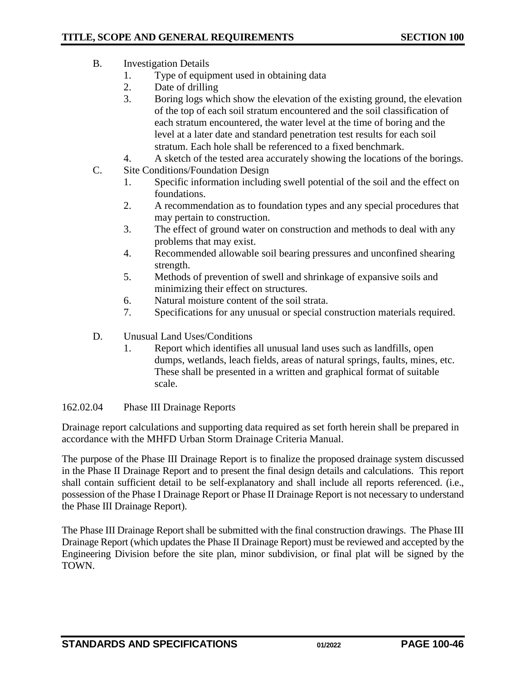- B. Investigation Details
	- 1. Type of equipment used in obtaining data
	- 2. Date of drilling
	- 3. Boring logs which show the elevation of the existing ground, the elevation of the top of each soil stratum encountered and the soil classification of each stratum encountered, the water level at the time of boring and the level at a later date and standard penetration test results for each soil stratum. Each hole shall be referenced to a fixed benchmark.
	- 4. A sketch of the tested area accurately showing the locations of the borings.
- C. Site Conditions/Foundation Design
	- 1. Specific information including swell potential of the soil and the effect on foundations.
	- 2. A recommendation as to foundation types and any special procedures that may pertain to construction.
	- 3. The effect of ground water on construction and methods to deal with any problems that may exist.
	- 4. Recommended allowable soil bearing pressures and unconfined shearing strength.
	- 5. Methods of prevention of swell and shrinkage of expansive soils and minimizing their effect on structures.
	- 6. Natural moisture content of the soil strata.
	- 7. Specifications for any unusual or special construction materials required.
- D. Unusual Land Uses/Conditions
	- 1. Report which identifies all unusual land uses such as landfills, open dumps, wetlands, leach fields, areas of natural springs, faults, mines, etc. These shall be presented in a written and graphical format of suitable scale.

#### 162.02.04 Phase III Drainage Reports

Drainage report calculations and supporting data required as set forth herein shall be prepared in accordance with the MHFD Urban Storm Drainage Criteria Manual.

The purpose of the Phase III Drainage Report is to finalize the proposed drainage system discussed in the Phase II Drainage Report and to present the final design details and calculations. This report shall contain sufficient detail to be self-explanatory and shall include all reports referenced. (i.e., possession of the Phase I Drainage Report or Phase II Drainage Report is not necessary to understand the Phase III Drainage Report).

The Phase III Drainage Report shall be submitted with the final construction drawings. The Phase III Drainage Report (which updates the Phase II Drainage Report) must be reviewed and accepted by the Engineering Division before the site plan, minor subdivision, or final plat will be signed by the TOWN.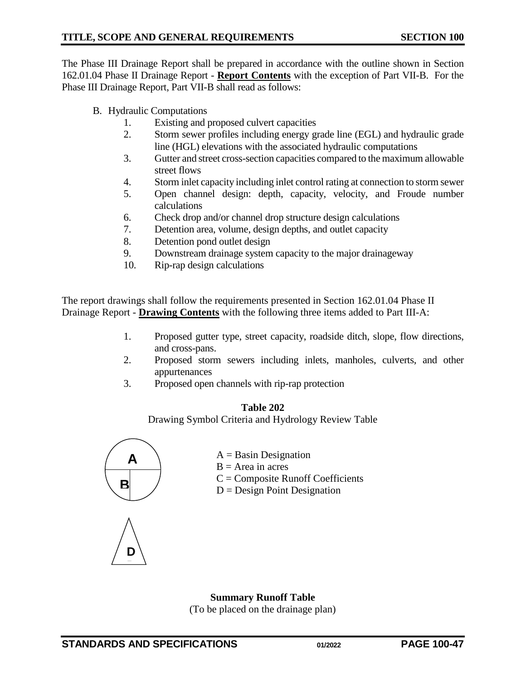The Phase III Drainage Report shall be prepared in accordance with the outline shown in Section 162.01.04 Phase II Drainage Report - **Report Contents** with the exception of Part VII-B. For the Phase III Drainage Report, Part VII-B shall read as follows:

- B. Hydraulic Computations
	- 1. Existing and proposed culvert capacities
	- 2. Storm sewer profiles including energy grade line (EGL) and hydraulic grade line (HGL) elevations with the associated hydraulic computations
	- 3. Gutter and street cross-section capacities compared to the maximum allowable street flows
	- 4. Storm inlet capacity including inlet control rating at connection to storm sewer
	- 5. Open channel design: depth, capacity, velocity, and Froude number calculations
	- 6. Check drop and/or channel drop structure design calculations
	- 7. Detention area, volume, design depths, and outlet capacity
	- 8. Detention pond outlet design
	- 9. Downstream drainage system capacity to the major drainageway
	- 10. Rip-rap design calculations

The report drawings shall follow the requirements presented in Section 162.01.04 Phase II Drainage Report - **Drawing Contents** with the following three items added to Part III-A:

- 1. Proposed gutter type, street capacity, roadside ditch, slope, flow directions, and cross-pans.
- 2. Proposed storm sewers including inlets, manholes, culverts, and other appurtenances
- 3. Proposed open channels with rip-rap protection

## **Table 202**

Drawing Symbol Criteria and Hydrology Review Table



**D D**

- $A =$ Basin Designation
- $B = Area$  in acres
- $C =$ Composite Runoff Coefficients
- $D = Design Point Design$

**Summary Runoff Table**

(To be placed on the drainage plan)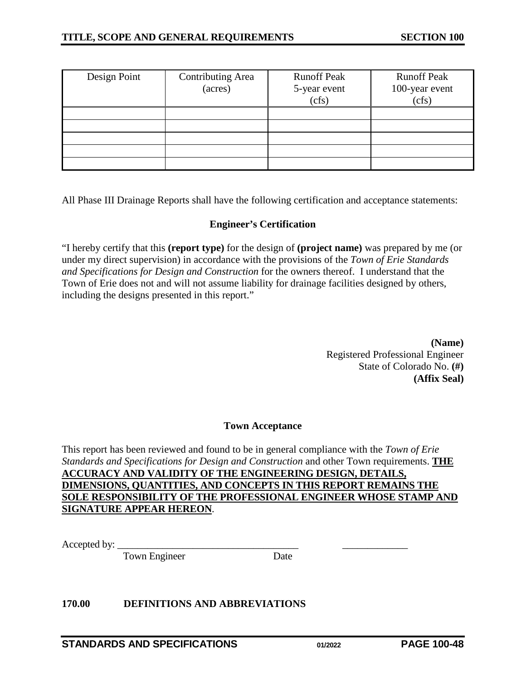| Design Point | <b>Contributing Area</b><br>(acres) | <b>Runoff Peak</b><br>5-year event<br>(cfs) | <b>Runoff Peak</b><br>100-year event<br>(cfs) |
|--------------|-------------------------------------|---------------------------------------------|-----------------------------------------------|
|              |                                     |                                             |                                               |
|              |                                     |                                             |                                               |
|              |                                     |                                             |                                               |
|              |                                     |                                             |                                               |
|              |                                     |                                             |                                               |

All Phase III Drainage Reports shall have the following certification and acceptance statements:

## **Engineer's Certification**

"I hereby certify that this **(report type)** for the design of **(project name)** was prepared by me (or under my direct supervision) in accordance with the provisions of the *Town of Erie Standards and Specifications for Design and Construction* for the owners thereof. I understand that the Town of Erie does not and will not assume liability for drainage facilities designed by others, including the designs presented in this report."

> **(Name)** Registered Professional Engineer State of Colorado No. **(#) (Affix Seal)**

#### **Town Acceptance**

This report has been reviewed and found to be in general compliance with the *Town of Erie Standards and Specifications for Design and Construction* and other Town requirements. **THE ACCURACY AND VALIDITY OF THE ENGINEERING DESIGN, DETAILS, DIMENSIONS, QUANTITIES, AND CONCEPTS IN THIS REPORT REMAINS THE SOLE RESPONSIBILITY OF THE PROFESSIONAL ENGINEER WHOSE STAMP AND SIGNATURE APPEAR HEREON**.

Accepted by:

Town Engineer Date

#### <span id="page-47-0"></span>**170.00 DEFINITIONS AND ABBREVIATIONS**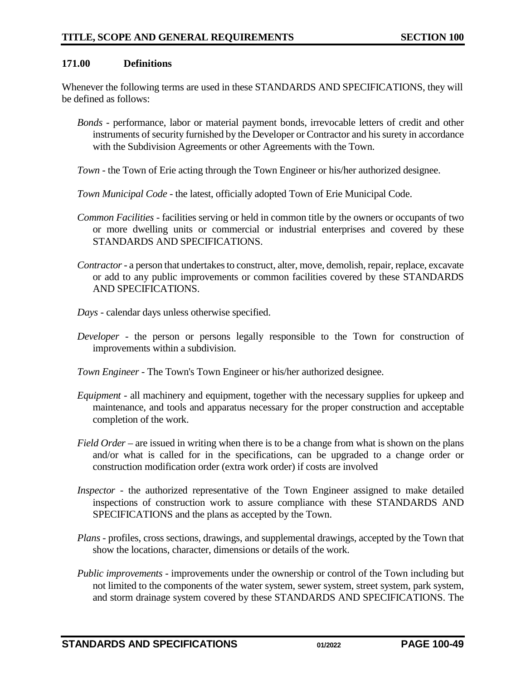#### <span id="page-48-0"></span>**171.00 Definitions**

Whenever the following terms are used in these STANDARDS AND SPECIFICATIONS, they will be defined as follows:

- *Bonds*  performance, labor or material payment bonds, irrevocable letters of credit and other instruments of security furnished by the Developer or Contractor and his surety in accordance with the Subdivision Agreements or other Agreements with the Town.
- *Town*  the Town of Erie acting through the Town Engineer or his/her authorized designee.
- *Town Municipal Code* the latest, officially adopted Town of Erie Municipal Code.
- *Common Facilities* facilities serving or held in common title by the owners or occupants of two or more dwelling units or commercial or industrial enterprises and covered by these STANDARDS AND SPECIFICATIONS.
- *Contractor* a person that undertakes to construct, alter, move, demolish, repair, replace, excavate or add to any public improvements or common facilities covered by these STANDARDS AND SPECIFICATIONS.
- *Days* calendar days unless otherwise specified.
- *Developer*  the person or persons legally responsible to the Town for construction of improvements within a subdivision.
- *Town Engineer* The Town's Town Engineer or his/her authorized designee.
- *Equipment*  all machinery and equipment, together with the necessary supplies for upkeep and maintenance, and tools and apparatus necessary for the proper construction and acceptable completion of the work.
- *Field Order* are issued in writing when there is to be a change from what is shown on the plans and/or what is called for in the specifications, can be upgraded to a change order or construction modification order (extra work order) if costs are involved
- *Inspector* the authorized representative of the Town Engineer assigned to make detailed inspections of construction work to assure compliance with these STANDARDS AND SPECIFICATIONS and the plans as accepted by the Town.
- *Plans* profiles, cross sections, drawings, and supplemental drawings, accepted by the Town that show the locations, character, dimensions or details of the work.
- *Public improvements* improvements under the ownership or control of the Town including but not limited to the components of the water system, sewer system, street system, park system, and storm drainage system covered by these STANDARDS AND SPECIFICATIONS. The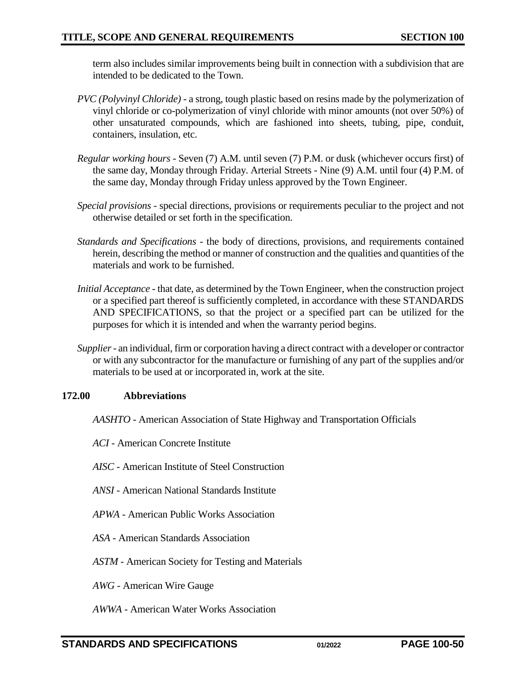term also includes similar improvements being built in connection with a subdivision that are intended to be dedicated to the Town.

- *PVC (Polyvinyl Chloride)* a strong, tough plastic based on resins made by the polymerization of vinyl chloride or co-polymerization of vinyl chloride with minor amounts (not over 50%) of other unsaturated compounds, which are fashioned into sheets, tubing, pipe, conduit, containers, insulation, etc.
- *Regular working hours* Seven (7) A.M. until seven (7) P.M. or dusk (whichever occurs first) of the same day, Monday through Friday. Arterial Streets - Nine (9) A.M. until four (4) P.M. of the same day, Monday through Friday unless approved by the Town Engineer.
- *Special provisions* special directions, provisions or requirements peculiar to the project and not otherwise detailed or set forth in the specification.
- *Standards and Specifications* the body of directions, provisions, and requirements contained herein, describing the method or manner of construction and the qualities and quantities of the materials and work to be furnished.
- *Initial Acceptance* that date, as determined by the Town Engineer, when the construction project or a specified part thereof is sufficiently completed, in accordance with these STANDARDS AND SPECIFICATIONS, so that the project or a specified part can be utilized for the purposes for which it is intended and when the warranty period begins.
- *Supplier -* an individual, firm or corporation having a direct contract with a developer or contractor or with any subcontractor for the manufacture or furnishing of any part of the supplies and/or materials to be used at or incorporated in, work at the site.

#### <span id="page-49-0"></span>**172.00 Abbreviations**

- *AASHTO* American Association of State Highway and Transportation Officials
- *ACI* American Concrete Institute
- *AISC*  American Institute of Steel Construction
- *ANSI*  American National Standards Institute
- *APWA* American Public Works Association
- *ASA*  American Standards Association
- *ASTM*  American Society for Testing and Materials
- *AWG* American Wire Gauge
- *AWWA* American Water Works Association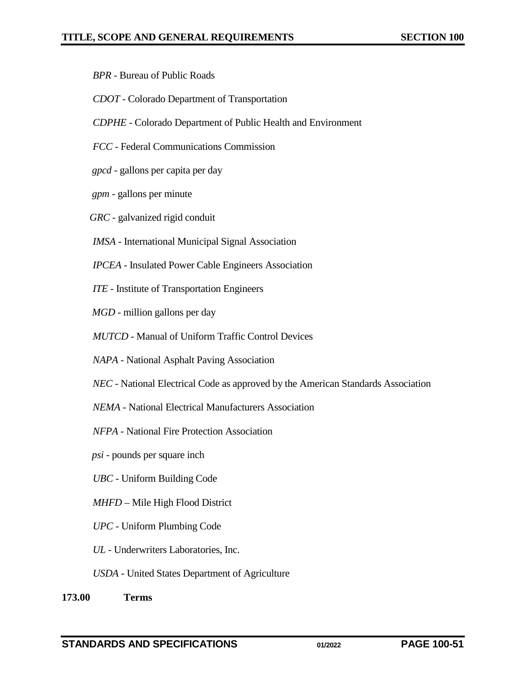- *BPR*  Bureau of Public Roads
- *CDOT* Colorado Department of Transportation
- *CDPHE* Colorado Department of Public Health and Environment
- *FCC* Federal Communications Commission
- *gpcd* gallons per capita per day
- *gpm*  gallons per minute
- *GRC*  galvanized rigid conduit
- *IMSA*  International Municipal Signal Association
- *IPCEA* Insulated Power Cable Engineers Association
- *ITE*  Institute of Transportation Engineers
- *MGD* million gallons per day
- *MUTCD* Manual of Uniform Traffic Control Devices
- *NAPA*  National Asphalt Paving Association
- *NEC*  National Electrical Code as approved by the American Standards Association
- *NEMA* National Electrical Manufacturers Association
- *NFPA*  National Fire Protection Association
- *psi* pounds per square inch
- *UBC* Uniform Building Code
- *MHFD* Mile High Flood District
- *UPC* Uniform Plumbing Code
- *UL*  Underwriters Laboratories, Inc.
- *USDA* United States Department of Agriculture
- <span id="page-50-0"></span>**173.00 Terms**